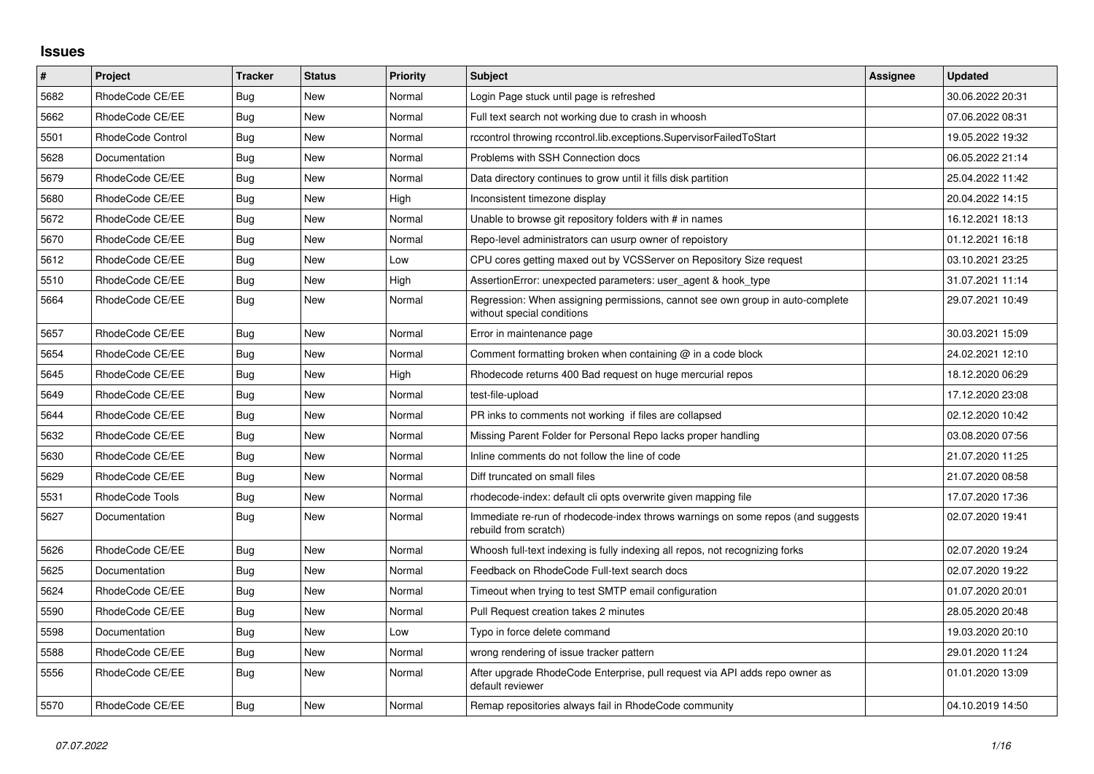## **Issues**

| $\vert$ # | Project           | <b>Tracker</b> | <b>Status</b> | Priority | Subject                                                                                                     | Assignee | <b>Updated</b>   |
|-----------|-------------------|----------------|---------------|----------|-------------------------------------------------------------------------------------------------------------|----------|------------------|
| 5682      | RhodeCode CE/EE   | Bug            | New           | Normal   | Login Page stuck until page is refreshed                                                                    |          | 30.06.2022 20:31 |
| 5662      | RhodeCode CE/EE   | Bug            | <b>New</b>    | Normal   | Full text search not working due to crash in whoosh                                                         |          | 07.06.2022 08:31 |
| 5501      | RhodeCode Control | Bug            | <b>New</b>    | Normal   | rccontrol throwing rccontrol.lib.exceptions.SupervisorFailedToStart                                         |          | 19.05.2022 19:32 |
| 5628      | Documentation     | Bug            | <b>New</b>    | Normal   | Problems with SSH Connection docs                                                                           |          | 06.05.2022 21:14 |
| 5679      | RhodeCode CE/EE   | Bug            | <b>New</b>    | Normal   | Data directory continues to grow until it fills disk partition                                              |          | 25.04.2022 11:42 |
| 5680      | RhodeCode CE/EE   | <b>Bug</b>     | New           | High     | Inconsistent timezone display                                                                               |          | 20.04.2022 14:15 |
| 5672      | RhodeCode CE/EE   | Bug            | <b>New</b>    | Normal   | Unable to browse git repository folders with # in names                                                     |          | 16.12.2021 18:13 |
| 5670      | RhodeCode CE/EE   | <b>Bug</b>     | New           | Normal   | Repo-level administrators can usurp owner of repoistory                                                     |          | 01.12.2021 16:18 |
| 5612      | RhodeCode CE/EE   | Bug            | <b>New</b>    | Low      | CPU cores getting maxed out by VCSServer on Repository Size request                                         |          | 03.10.2021 23:25 |
| 5510      | RhodeCode CE/EE   | Bug            | <b>New</b>    | High     | AssertionError: unexpected parameters: user agent & hook type                                               |          | 31.07.2021 11:14 |
| 5664      | RhodeCode CE/EE   | Bug            | <b>New</b>    | Normal   | Regression: When assigning permissions, cannot see own group in auto-complete<br>without special conditions |          | 29.07.2021 10:49 |
| 5657      | RhodeCode CE/EE   | <b>Bug</b>     | <b>New</b>    | Normal   | Error in maintenance page                                                                                   |          | 30.03.2021 15:09 |
| 5654      | RhodeCode CE/EE   | Bug            | <b>New</b>    | Normal   | Comment formatting broken when containing $@$ in a code block                                               |          | 24.02.2021 12:10 |
| 5645      | RhodeCode CE/EE   | Bug            | <b>New</b>    | High     | Rhodecode returns 400 Bad request on huge mercurial repos                                                   |          | 18.12.2020 06:29 |
| 5649      | RhodeCode CE/EE   | Bug            | New           | Normal   | test-file-upload                                                                                            |          | 17.12.2020 23:08 |
| 5644      | RhodeCode CE/EE   | Bug            | <b>New</b>    | Normal   | PR inks to comments not working if files are collapsed                                                      |          | 02.12.2020 10:42 |
| 5632      | RhodeCode CE/EE   | <b>Bug</b>     | <b>New</b>    | Normal   | Missing Parent Folder for Personal Repo lacks proper handling                                               |          | 03.08.2020 07:56 |
| 5630      | RhodeCode CE/EE   | <b>Bug</b>     | <b>New</b>    | Normal   | Inline comments do not follow the line of code                                                              |          | 21.07.2020 11:25 |
| 5629      | RhodeCode CE/EE   | Bug            | <b>New</b>    | Normal   | Diff truncated on small files                                                                               |          | 21.07.2020 08:58 |
| 5531      | RhodeCode Tools   | Bug            | <b>New</b>    | Normal   | rhodecode-index: default cli opts overwrite given mapping file                                              |          | 17.07.2020 17:36 |
| 5627      | Documentation     | Bug            | <b>New</b>    | Normal   | Immediate re-run of rhodecode-index throws warnings on some repos (and suggests<br>rebuild from scratch)    |          | 02.07.2020 19:41 |
| 5626      | RhodeCode CE/EE   | Bug            | <b>New</b>    | Normal   | Whoosh full-text indexing is fully indexing all repos, not recognizing forks                                |          | 02.07.2020 19:24 |
| 5625      | Documentation     | Bug            | <b>New</b>    | Normal   | Feedback on RhodeCode Full-text search docs                                                                 |          | 02.07.2020 19:22 |
| 5624      | RhodeCode CE/EE   | Bug            | <b>New</b>    | Normal   | Timeout when trying to test SMTP email configuration                                                        |          | 01.07.2020 20:01 |
| 5590      | RhodeCode CE/EE   | Bug            | <b>New</b>    | Normal   | Pull Request creation takes 2 minutes                                                                       |          | 28.05.2020 20:48 |
| 5598      | Documentation     | Bug            | <b>New</b>    | Low      | Typo in force delete command                                                                                |          | 19.03.2020 20:10 |
| 5588      | RhodeCode CE/EE   | <b>Bug</b>     | <b>New</b>    | Normal   | wrong rendering of issue tracker pattern                                                                    |          | 29.01.2020 11:24 |
| 5556      | RhodeCode CE/EE   | Bug            | <b>New</b>    | Normal   | After upgrade RhodeCode Enterprise, pull request via API adds repo owner as<br>default reviewer             |          | 01.01.2020 13:09 |
| 5570      | RhodeCode CE/EE   | Bug            | <b>New</b>    | Normal   | Remap repositories always fail in RhodeCode community                                                       |          | 04.10.2019 14:50 |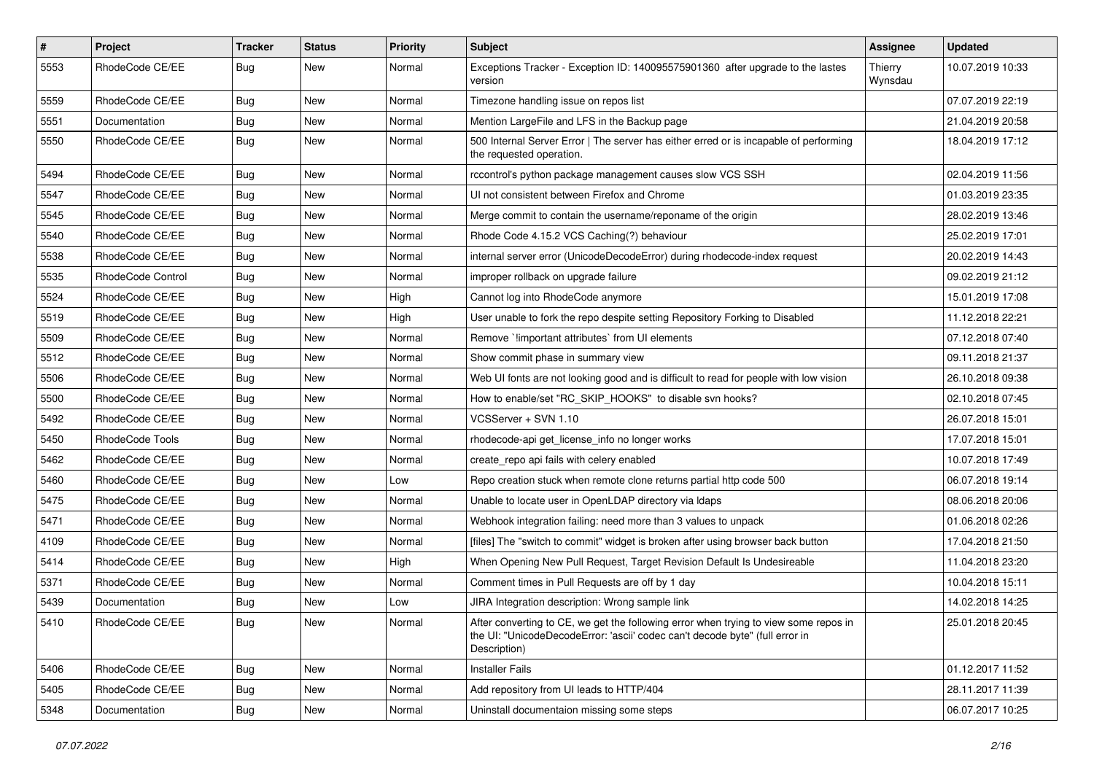| $\pmb{\#}$ | <b>Project</b>    | <b>Tracker</b> | <b>Status</b> | <b>Priority</b> | <b>Subject</b>                                                                                                                                                                       | <b>Assignee</b>    | <b>Updated</b>   |
|------------|-------------------|----------------|---------------|-----------------|--------------------------------------------------------------------------------------------------------------------------------------------------------------------------------------|--------------------|------------------|
| 5553       | RhodeCode CE/EE   | Bug            | New           | Normal          | Exceptions Tracker - Exception ID: 140095575901360 after upgrade to the lastes<br>version                                                                                            | Thierry<br>Wynsdau | 10.07.2019 10:33 |
| 5559       | RhodeCode CE/EE   | <b>Bug</b>     | New           | Normal          | Timezone handling issue on repos list                                                                                                                                                |                    | 07.07.2019 22:19 |
| 5551       | Documentation     | Bug            | New           | Normal          | Mention LargeFile and LFS in the Backup page                                                                                                                                         |                    | 21.04.2019 20:58 |
| 5550       | RhodeCode CE/EE   | Bug            | <b>New</b>    | Normal          | 500 Internal Server Error   The server has either erred or is incapable of performing<br>the requested operation.                                                                    |                    | 18.04.2019 17:12 |
| 5494       | RhodeCode CE/EE   | <b>Bug</b>     | New           | Normal          | rccontrol's python package management causes slow VCS SSH                                                                                                                            |                    | 02.04.2019 11:56 |
| 5547       | RhodeCode CE/EE   | Bug            | New           | Normal          | UI not consistent between Firefox and Chrome                                                                                                                                         |                    | 01.03.2019 23:35 |
| 5545       | RhodeCode CE/EE   | Bug            | New           | Normal          | Merge commit to contain the username/reponame of the origin                                                                                                                          |                    | 28.02.2019 13:46 |
| 5540       | RhodeCode CE/EE   | Bug            | New           | Normal          | Rhode Code 4.15.2 VCS Caching(?) behaviour                                                                                                                                           |                    | 25.02.2019 17:01 |
| 5538       | RhodeCode CE/EE   | Bug            | New           | Normal          | internal server error (UnicodeDecodeError) during rhodecode-index request                                                                                                            |                    | 20.02.2019 14:43 |
| 5535       | RhodeCode Control | <b>Bug</b>     | New           | Normal          | improper rollback on upgrade failure                                                                                                                                                 |                    | 09.02.2019 21:12 |
| 5524       | RhodeCode CE/EE   | Bug            | New           | High            | Cannot log into RhodeCode anymore                                                                                                                                                    |                    | 15.01.2019 17:08 |
| 5519       | RhodeCode CE/EE   | Bug            | New           | High            | User unable to fork the repo despite setting Repository Forking to Disabled                                                                                                          |                    | 11.12.2018 22:21 |
| 5509       | RhodeCode CE/EE   | Bug            | New           | Normal          | Remove `!important attributes` from UI elements                                                                                                                                      |                    | 07.12.2018 07:40 |
| 5512       | RhodeCode CE/EE   | Bug            | New           | Normal          | Show commit phase in summary view                                                                                                                                                    |                    | 09.11.2018 21:37 |
| 5506       | RhodeCode CE/EE   | <b>Bug</b>     | New           | Normal          | Web UI fonts are not looking good and is difficult to read for people with low vision                                                                                                |                    | 26.10.2018 09:38 |
| 5500       | RhodeCode CE/EE   | Bug            | <b>New</b>    | Normal          | How to enable/set "RC_SKIP_HOOKS" to disable svn hooks?                                                                                                                              |                    | 02.10.2018 07:45 |
| 5492       | RhodeCode CE/EE   | Bug            | New           | Normal          | VCSServer + SVN 1.10                                                                                                                                                                 |                    | 26.07.2018 15:01 |
| 5450       | RhodeCode Tools   | <b>Bug</b>     | New           | Normal          | rhodecode-api get_license_info no longer works                                                                                                                                       |                    | 17.07.2018 15:01 |
| 5462       | RhodeCode CE/EE   | Bug            | New           | Normal          | create repo api fails with celery enabled                                                                                                                                            |                    | 10.07.2018 17:49 |
| 5460       | RhodeCode CE/EE   | Bug            | New           | Low             | Repo creation stuck when remote clone returns partial http code 500                                                                                                                  |                    | 06.07.2018 19:14 |
| 5475       | RhodeCode CE/EE   | Bug            | <b>New</b>    | Normal          | Unable to locate user in OpenLDAP directory via Idaps                                                                                                                                |                    | 08.06.2018 20:06 |
| 5471       | RhodeCode CE/EE   | Bug            | New           | Normal          | Webhook integration failing: need more than 3 values to unpack                                                                                                                       |                    | 01.06.2018 02:26 |
| 4109       | RhodeCode CE/EE   | <b>Bug</b>     | New           | Normal          | [files] The "switch to commit" widget is broken after using browser back button                                                                                                      |                    | 17.04.2018 21:50 |
| 5414       | RhodeCode CE/EE   | Bug            | New           | High            | When Opening New Pull Request, Target Revision Default Is Undesireable                                                                                                               |                    | 11.04.2018 23:20 |
| 5371       | RhodeCode CE/EE   | <b>Bug</b>     | <b>New</b>    | Normal          | Comment times in Pull Requests are off by 1 day                                                                                                                                      |                    | 10.04.2018 15:11 |
| 5439       | Documentation     | <b>Bug</b>     | New           | Low             | JIRA Integration description: Wrong sample link                                                                                                                                      |                    | 14.02.2018 14:25 |
| 5410       | RhodeCode CE/EE   | <b>Bug</b>     | New           | Normal          | After converting to CE, we get the following error when trying to view some repos in<br>the UI: "UnicodeDecodeError: 'ascii' codec can't decode byte" (full error in<br>Description) |                    | 25.01.2018 20:45 |
| 5406       | RhodeCode CE/EE   | Bug            | New           | Normal          | <b>Installer Fails</b>                                                                                                                                                               |                    | 01.12.2017 11:52 |
| 5405       | RhodeCode CE/EE   | Bug            | New           | Normal          | Add repository from UI leads to HTTP/404                                                                                                                                             |                    | 28.11.2017 11:39 |
| 5348       | Documentation     | Bug            | New           | Normal          | Uninstall documentaion missing some steps                                                                                                                                            |                    | 06.07.2017 10:25 |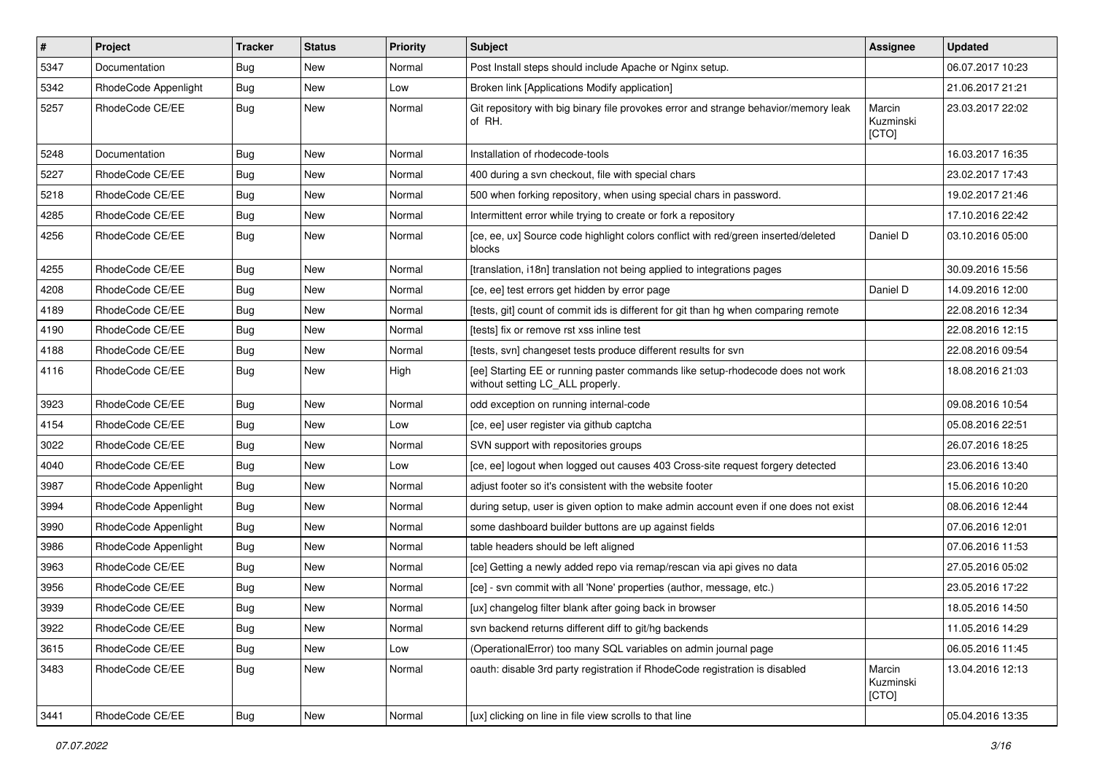| #    | Project              | <b>Tracker</b> | <b>Status</b> | <b>Priority</b> | <b>Subject</b>                                                                                                     | <b>Assignee</b>              | <b>Updated</b>   |
|------|----------------------|----------------|---------------|-----------------|--------------------------------------------------------------------------------------------------------------------|------------------------------|------------------|
| 5347 | Documentation        | Bug            | New           | Normal          | Post Install steps should include Apache or Nginx setup.                                                           |                              | 06.07.2017 10:23 |
| 5342 | RhodeCode Appenlight | Bug            | <b>New</b>    | Low             | Broken link [Applications Modify application]                                                                      |                              | 21.06.2017 21:21 |
| 5257 | RhodeCode CE/EE      | Bug            | New           | Normal          | Git repository with big binary file provokes error and strange behavior/memory leak<br>of RH.                      | Marcin<br>Kuzminski<br>[CTO] | 23.03.2017 22:02 |
| 5248 | Documentation        | Bug            | New           | Normal          | Installation of rhodecode-tools                                                                                    |                              | 16.03.2017 16:35 |
| 5227 | RhodeCode CE/EE      | Bug            | New           | Normal          | 400 during a svn checkout, file with special chars                                                                 |                              | 23.02.2017 17:43 |
| 5218 | RhodeCode CE/EE      | Bug            | New           | Normal          | 500 when forking repository, when using special chars in password.                                                 |                              | 19.02.2017 21:46 |
| 4285 | RhodeCode CE/EE      | Bug            | New           | Normal          | Intermittent error while trying to create or fork a repository                                                     |                              | 17.10.2016 22:42 |
| 4256 | RhodeCode CE/EE      | Bug            | New           | Normal          | [ce, ee, ux] Source code highlight colors conflict with red/green inserted/deleted<br>blocks                       | Daniel D                     | 03.10.2016 05:00 |
| 4255 | RhodeCode CE/EE      | Bug            | New           | Normal          | [translation, i18n] translation not being applied to integrations pages                                            |                              | 30.09.2016 15:56 |
| 4208 | RhodeCode CE/EE      | <b>Bug</b>     | New           | Normal          | [ce, ee] test errors get hidden by error page                                                                      | Daniel D                     | 14.09.2016 12:00 |
| 4189 | RhodeCode CE/EE      | Bug            | New           | Normal          | [tests, git] count of commit ids is different for git than hg when comparing remote                                |                              | 22.08.2016 12:34 |
| 4190 | RhodeCode CE/EE      | Bug            | New           | Normal          | [tests] fix or remove rst xss inline test                                                                          |                              | 22.08.2016 12:15 |
| 4188 | RhodeCode CE/EE      | Bug            | New           | Normal          | [tests, svn] changeset tests produce different results for svn                                                     |                              | 22.08.2016 09:54 |
| 4116 | RhodeCode CE/EE      | Bug            | New           | High            | [ee] Starting EE or running paster commands like setup-rhodecode does not work<br>without setting LC_ALL properly. |                              | 18.08.2016 21:03 |
| 3923 | RhodeCode CE/EE      | Bug            | New           | Normal          | odd exception on running internal-code                                                                             |                              | 09.08.2016 10:54 |
| 4154 | RhodeCode CE/EE      | Bug            | <b>New</b>    | Low             | [ce, ee] user register via github captcha                                                                          |                              | 05.08.2016 22:51 |
| 3022 | RhodeCode CE/EE      | Bug            | New           | Normal          | SVN support with repositories groups                                                                               |                              | 26.07.2016 18:25 |
| 4040 | RhodeCode CE/EE      | Bug            | New           | Low             | [ce, ee] logout when logged out causes 403 Cross-site request forgery detected                                     |                              | 23.06.2016 13:40 |
| 3987 | RhodeCode Appenlight | Bug            | New           | Normal          | adjust footer so it's consistent with the website footer                                                           |                              | 15.06.2016 10:20 |
| 3994 | RhodeCode Appenlight | Bug            | New           | Normal          | during setup, user is given option to make admin account even if one does not exist                                |                              | 08.06.2016 12:44 |
| 3990 | RhodeCode Appenlight | Bug            | New           | Normal          | some dashboard builder buttons are up against fields                                                               |                              | 07.06.2016 12:01 |
| 3986 | RhodeCode Appenlight | Bug            | New           | Normal          | table headers should be left aligned                                                                               |                              | 07.06.2016 11:53 |
| 3963 | RhodeCode CE/EE      | Bug            | New           | Normal          | [ce] Getting a newly added repo via remap/rescan via api gives no data                                             |                              | 27.05.2016 05:02 |
| 3956 | RhodeCode CE/EE      | Bug            | New           | Normal          | [ce] - svn commit with all 'None' properties (author, message, etc.)                                               |                              | 23.05.2016 17:22 |
| 3939 | RhodeCode CE/EE      | Bug            | New           | Normal          | [ux] changelog filter blank after going back in browser                                                            |                              | 18.05.2016 14:50 |
| 3922 | RhodeCode CE/EE      | <b>Bug</b>     | New           | Normal          | svn backend returns different diff to git/hg backends                                                              |                              | 11.05.2016 14:29 |
| 3615 | RhodeCode CE/EE      | Bug            | <b>New</b>    | Low             | (OperationalError) too many SQL variables on admin journal page                                                    |                              | 06.05.2016 11:45 |
| 3483 | RhodeCode CE/EE      | Bug            | New           | Normal          | oauth: disable 3rd party registration if RhodeCode registration is disabled                                        | Marcin<br>Kuzminski<br>[CTO] | 13.04.2016 12:13 |
| 3441 | RhodeCode CE/EE      | <b>Bug</b>     | New           | Normal          | [ux] clicking on line in file view scrolls to that line                                                            |                              | 05.04.2016 13:35 |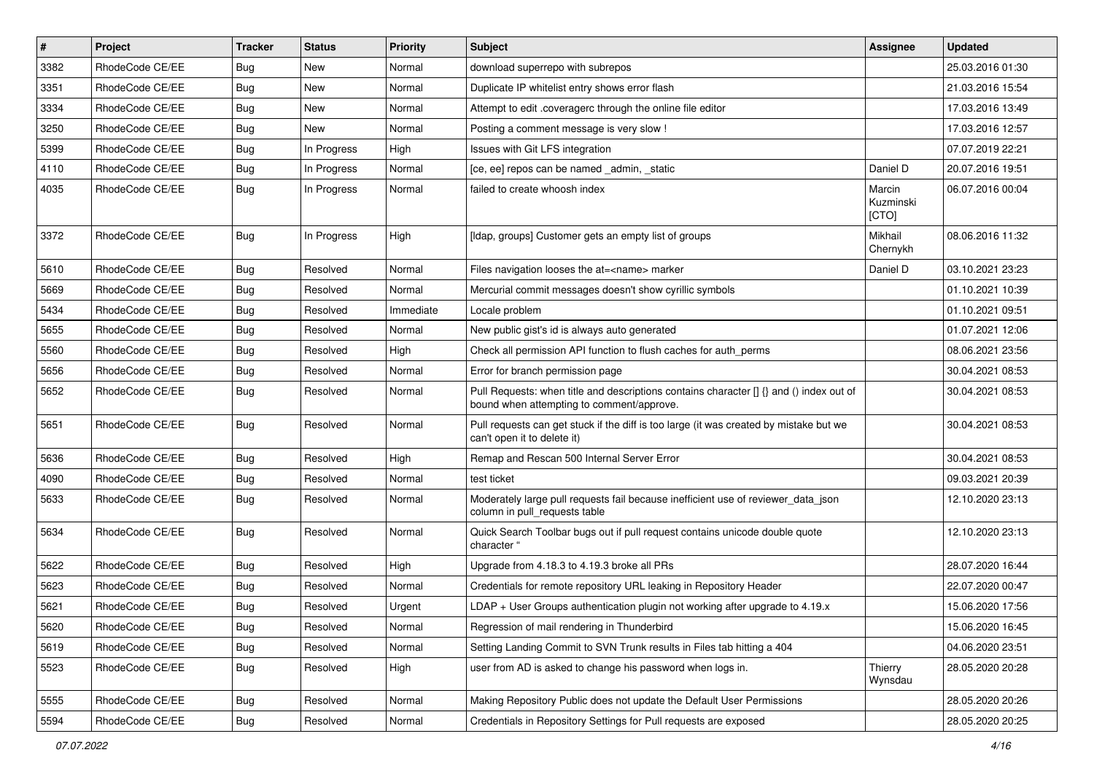| $\vert$ # | Project         | <b>Tracker</b> | <b>Status</b> | <b>Priority</b> | Subject                                                                                                                              | <b>Assignee</b>              | <b>Updated</b>   |
|-----------|-----------------|----------------|---------------|-----------------|--------------------------------------------------------------------------------------------------------------------------------------|------------------------------|------------------|
| 3382      | RhodeCode CE/EE | Bug            | New           | Normal          | download superrepo with subrepos                                                                                                     |                              | 25.03.2016 01:30 |
| 3351      | RhodeCode CE/EE | Bug            | New           | Normal          | Duplicate IP whitelist entry shows error flash                                                                                       |                              | 21.03.2016 15:54 |
| 3334      | RhodeCode CE/EE | Bug            | New           | Normal          | Attempt to edit .coveragerc through the online file editor                                                                           |                              | 17.03.2016 13:49 |
| 3250      | RhodeCode CE/EE | Bug            | New           | Normal          | Posting a comment message is very slow !                                                                                             |                              | 17.03.2016 12:57 |
| 5399      | RhodeCode CE/EE | Bug            | In Progress   | High            | Issues with Git LFS integration                                                                                                      |                              | 07.07.2019 22:21 |
| 4110      | RhodeCode CE/EE | Bug            | In Progress   | Normal          | [ce, ee] repos can be named _admin, _static                                                                                          | Daniel D                     | 20.07.2016 19:51 |
| 4035      | RhodeCode CE/EE | Bug            | In Progress   | Normal          | failed to create whoosh index                                                                                                        | Marcin<br>Kuzminski<br>[CTO] | 06.07.2016 00:04 |
| 3372      | RhodeCode CE/EE | Bug            | In Progress   | High            | [Idap, groups] Customer gets an empty list of groups                                                                                 | Mikhail<br>Chernykh          | 08.06.2016 11:32 |
| 5610      | RhodeCode CE/EE | Bug            | Resolved      | Normal          | Files navigation looses the at= <name> marker</name>                                                                                 | Daniel D                     | 03.10.2021 23:23 |
| 5669      | RhodeCode CE/EE | Bug            | Resolved      | Normal          | Mercurial commit messages doesn't show cyrillic symbols                                                                              |                              | 01.10.2021 10:39 |
| 5434      | RhodeCode CE/EE | Bug            | Resolved      | Immediate       | Locale problem                                                                                                                       |                              | 01.10.2021 09:51 |
| 5655      | RhodeCode CE/EE | Bug            | Resolved      | Normal          | New public gist's id is always auto generated                                                                                        |                              | 01.07.2021 12:06 |
| 5560      | RhodeCode CE/EE | Bug            | Resolved      | High            | Check all permission API function to flush caches for auth_perms                                                                     |                              | 08.06.2021 23:56 |
| 5656      | RhodeCode CE/EE | Bug            | Resolved      | Normal          | Error for branch permission page                                                                                                     |                              | 30.04.2021 08:53 |
| 5652      | RhodeCode CE/EE | Bug            | Resolved      | Normal          | Pull Requests: when title and descriptions contains character [] {} and () index out of<br>bound when attempting to comment/approve. |                              | 30.04.2021 08:53 |
| 5651      | RhodeCode CE/EE | Bug            | Resolved      | Normal          | Pull requests can get stuck if the diff is too large (it was created by mistake but we<br>can't open it to delete it)                |                              | 30.04.2021 08:53 |
| 5636      | RhodeCode CE/EE | Bug            | Resolved      | High            | Remap and Rescan 500 Internal Server Error                                                                                           |                              | 30.04.2021 08:53 |
| 4090      | RhodeCode CE/EE | Bug            | Resolved      | Normal          | test ticket                                                                                                                          |                              | 09.03.2021 20:39 |
| 5633      | RhodeCode CE/EE | Bug            | Resolved      | Normal          | Moderately large pull requests fail because inefficient use of reviewer_data_json<br>column in pull requests table                   |                              | 12.10.2020 23:13 |
| 5634      | RhodeCode CE/EE | Bug            | Resolved      | Normal          | Quick Search Toolbar bugs out if pull request contains unicode double quote<br>character "                                           |                              | 12.10.2020 23:13 |
| 5622      | RhodeCode CE/EE | Bug            | Resolved      | High            | Upgrade from 4.18.3 to 4.19.3 broke all PRs                                                                                          |                              | 28.07.2020 16:44 |
| 5623      | RhodeCode CE/EE | Bug            | Resolved      | Normal          | Credentials for remote repository URL leaking in Repository Header                                                                   |                              | 22.07.2020 00:47 |
| 5621      | RhodeCode CE/EE | Bug            | Resolved      | Urgent          | LDAP + User Groups authentication plugin not working after upgrade to 4.19.x                                                         |                              | 15.06.2020 17:56 |
| 5620      | RhodeCode CE/EE | <b>Bug</b>     | Resolved      | Normal          | Regression of mail rendering in Thunderbird                                                                                          |                              | 15.06.2020 16:45 |
| 5619      | RhodeCode CE/EE | Bug            | Resolved      | Normal          | Setting Landing Commit to SVN Trunk results in Files tab hitting a 404                                                               |                              | 04.06.2020 23:51 |
| 5523      | RhodeCode CE/EE | <b>Bug</b>     | Resolved      | High            | user from AD is asked to change his password when logs in.                                                                           | Thierry<br>Wynsdau           | 28.05.2020 20:28 |
| 5555      | RhodeCode CE/EE | <b>Bug</b>     | Resolved      | Normal          | Making Repository Public does not update the Default User Permissions                                                                |                              | 28.05.2020 20:26 |
| 5594      | RhodeCode CE/EE | <b>Bug</b>     | Resolved      | Normal          | Credentials in Repository Settings for Pull requests are exposed                                                                     |                              | 28.05.2020 20:25 |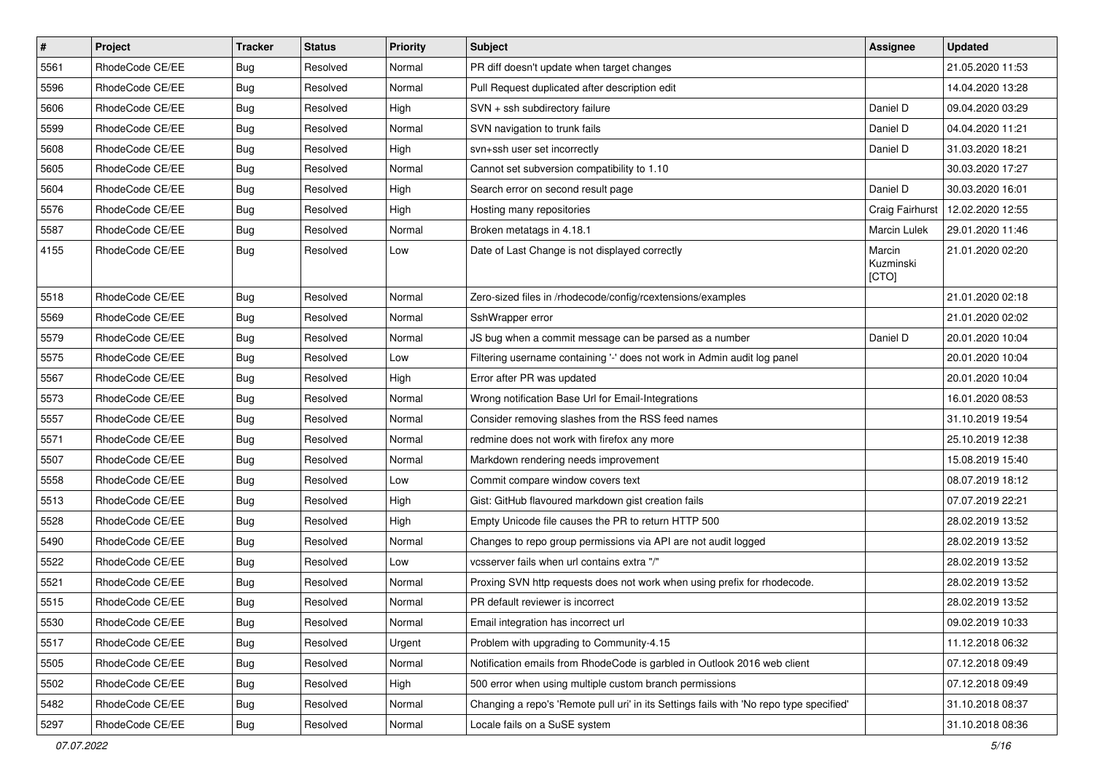| $\pmb{\#}$ | Project         | <b>Tracker</b> | <b>Status</b> | <b>Priority</b> | Subject                                                                                 | <b>Assignee</b>              | <b>Updated</b>   |
|------------|-----------------|----------------|---------------|-----------------|-----------------------------------------------------------------------------------------|------------------------------|------------------|
| 5561       | RhodeCode CE/EE | <b>Bug</b>     | Resolved      | Normal          | PR diff doesn't update when target changes                                              |                              | 21.05.2020 11:53 |
| 5596       | RhodeCode CE/EE | Bug            | Resolved      | Normal          | Pull Request duplicated after description edit                                          |                              | 14.04.2020 13:28 |
| 5606       | RhodeCode CE/EE | <b>Bug</b>     | Resolved      | High            | SVN + ssh subdirectory failure                                                          | Daniel D                     | 09.04.2020 03:29 |
| 5599       | RhodeCode CE/EE | <b>Bug</b>     | Resolved      | Normal          | SVN navigation to trunk fails                                                           | Daniel D                     | 04.04.2020 11:21 |
| 5608       | RhodeCode CE/EE | <b>Bug</b>     | Resolved      | High            | svn+ssh user set incorrectly                                                            | Daniel D                     | 31.03.2020 18:21 |
| 5605       | RhodeCode CE/EE | Bug            | Resolved      | Normal          | Cannot set subversion compatibility to 1.10                                             |                              | 30.03.2020 17:27 |
| 5604       | RhodeCode CE/EE | Bug            | Resolved      | High            | Search error on second result page                                                      | Daniel D                     | 30.03.2020 16:01 |
| 5576       | RhodeCode CE/EE | Bug            | Resolved      | High            | Hosting many repositories                                                               | Craig Fairhurst              | 12.02.2020 12:55 |
| 5587       | RhodeCode CE/EE | Bug            | Resolved      | Normal          | Broken metatags in 4.18.1                                                               | Marcin Lulek                 | 29.01.2020 11:46 |
| 4155       | RhodeCode CE/EE | Bug            | Resolved      | Low             | Date of Last Change is not displayed correctly                                          | Marcin<br>Kuzminski<br>[CTO] | 21.01.2020 02:20 |
| 5518       | RhodeCode CE/EE | <b>Bug</b>     | Resolved      | Normal          | Zero-sized files in /rhodecode/config/rcextensions/examples                             |                              | 21.01.2020 02:18 |
| 5569       | RhodeCode CE/EE | Bug            | Resolved      | Normal          | SshWrapper error                                                                        |                              | 21.01.2020 02:02 |
| 5579       | RhodeCode CE/EE | Bug            | Resolved      | Normal          | JS bug when a commit message can be parsed as a number                                  | Daniel D                     | 20.01.2020 10:04 |
| 5575       | RhodeCode CE/EE | Bug            | Resolved      | Low             | Filtering username containing '-' does not work in Admin audit log panel                |                              | 20.01.2020 10:04 |
| 5567       | RhodeCode CE/EE | <b>Bug</b>     | Resolved      | High            | Error after PR was updated                                                              |                              | 20.01.2020 10:04 |
| 5573       | RhodeCode CE/EE | Bug            | Resolved      | Normal          | Wrong notification Base Url for Email-Integrations                                      |                              | 16.01.2020 08:53 |
| 5557       | RhodeCode CE/EE | Bug            | Resolved      | Normal          | Consider removing slashes from the RSS feed names                                       |                              | 31.10.2019 19:54 |
| 5571       | RhodeCode CE/EE | <b>Bug</b>     | Resolved      | Normal          | redmine does not work with firefox any more                                             |                              | 25.10.2019 12:38 |
| 5507       | RhodeCode CE/EE | Bug            | Resolved      | Normal          | Markdown rendering needs improvement                                                    |                              | 15.08.2019 15:40 |
| 5558       | RhodeCode CE/EE | <b>Bug</b>     | Resolved      | Low             | Commit compare window covers text                                                       |                              | 08.07.2019 18:12 |
| 5513       | RhodeCode CE/EE | Bug            | Resolved      | High            | Gist: GitHub flavoured markdown gist creation fails                                     |                              | 07.07.2019 22:21 |
| 5528       | RhodeCode CE/EE | Bug            | Resolved      | High            | Empty Unicode file causes the PR to return HTTP 500                                     |                              | 28.02.2019 13:52 |
| 5490       | RhodeCode CE/EE | <b>Bug</b>     | Resolved      | Normal          | Changes to repo group permissions via API are not audit logged                          |                              | 28.02.2019 13:52 |
| 5522       | RhodeCode CE/EE | <b>Bug</b>     | Resolved      | Low             | vcsserver fails when url contains extra "/"                                             |                              | 28.02.2019 13:52 |
| 5521       | RhodeCode CE/EE | <b>Bug</b>     | Resolved      | Normal          | Proxing SVN http requests does not work when using prefix for rhodecode.                |                              | 28.02.2019 13:52 |
| 5515       | RhodeCode CE/EE | Bug            | Resolved      | Normal          | PR default reviewer is incorrect                                                        |                              | 28.02.2019 13:52 |
| 5530       | RhodeCode CE/EE | <b>Bug</b>     | Resolved      | Normal          | Email integration has incorrect url                                                     |                              | 09.02.2019 10:33 |
| 5517       | RhodeCode CE/EE | Bug            | Resolved      | Urgent          | Problem with upgrading to Community-4.15                                                |                              | 11.12.2018 06:32 |
| 5505       | RhodeCode CE/EE | Bug            | Resolved      | Normal          | Notification emails from RhodeCode is garbled in Outlook 2016 web client                |                              | 07.12.2018 09:49 |
| 5502       | RhodeCode CE/EE | <b>Bug</b>     | Resolved      | High            | 500 error when using multiple custom branch permissions                                 |                              | 07.12.2018 09:49 |
| 5482       | RhodeCode CE/EE | <b>Bug</b>     | Resolved      | Normal          | Changing a repo's 'Remote pull uri' in its Settings fails with 'No repo type specified' |                              | 31.10.2018 08:37 |
| 5297       | RhodeCode CE/EE | <b>Bug</b>     | Resolved      | Normal          | Locale fails on a SuSE system                                                           |                              | 31.10.2018 08:36 |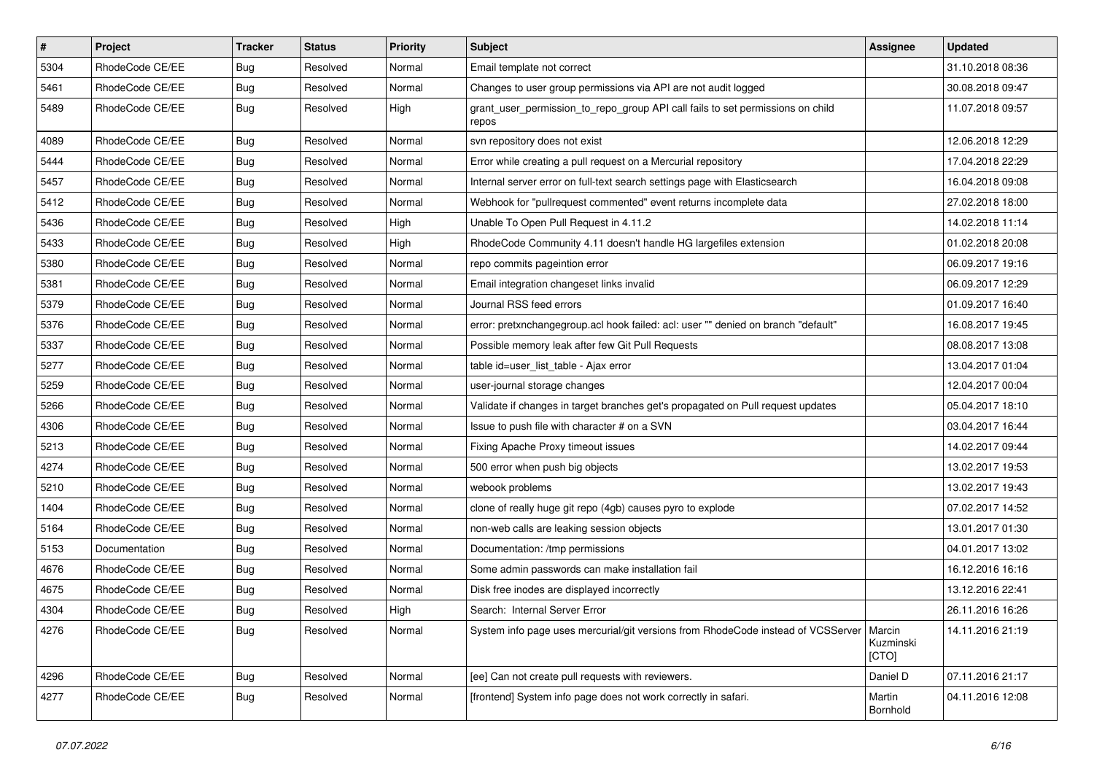| $\sharp$ | Project         | <b>Tracker</b> | <b>Status</b> | Priority | Subject                                                                                 | <b>Assignee</b>              | <b>Updated</b>   |
|----------|-----------------|----------------|---------------|----------|-----------------------------------------------------------------------------------------|------------------------------|------------------|
| 5304     | RhodeCode CE/EE | Bug            | Resolved      | Normal   | Email template not correct                                                              |                              | 31.10.2018 08:36 |
| 5461     | RhodeCode CE/EE | Bug            | Resolved      | Normal   | Changes to user group permissions via API are not audit logged                          |                              | 30.08.2018 09:47 |
| 5489     | RhodeCode CE/EE | Bug            | Resolved      | High     | grant_user_permission_to_repo_group API call fails to set permissions on child<br>repos |                              | 11.07.2018 09:57 |
| 4089     | RhodeCode CE/EE | Bug            | Resolved      | Normal   | svn repository does not exist                                                           |                              | 12.06.2018 12:29 |
| 5444     | RhodeCode CE/EE | Bug            | Resolved      | Normal   | Error while creating a pull request on a Mercurial repository                           |                              | 17.04.2018 22:29 |
| 5457     | RhodeCode CE/EE | Bug            | Resolved      | Normal   | Internal server error on full-text search settings page with Elasticsearch              |                              | 16.04.2018 09:08 |
| 5412     | RhodeCode CE/EE | Bug            | Resolved      | Normal   | Webhook for "pullrequest commented" event returns incomplete data                       |                              | 27.02.2018 18:00 |
| 5436     | RhodeCode CE/EE | <b>Bug</b>     | Resolved      | High     | Unable To Open Pull Request in 4.11.2                                                   |                              | 14.02.2018 11:14 |
| 5433     | RhodeCode CE/EE | Bug            | Resolved      | High     | RhodeCode Community 4.11 doesn't handle HG largefiles extension                         |                              | 01.02.2018 20:08 |
| 5380     | RhodeCode CE/EE | Bug            | Resolved      | Normal   | repo commits pageintion error                                                           |                              | 06.09.2017 19:16 |
| 5381     | RhodeCode CE/EE | Bug            | Resolved      | Normal   | Email integration changeset links invalid                                               |                              | 06.09.2017 12:29 |
| 5379     | RhodeCode CE/EE | <b>Bug</b>     | Resolved      | Normal   | Journal RSS feed errors                                                                 |                              | 01.09.2017 16:40 |
| 5376     | RhodeCode CE/EE | Bug            | Resolved      | Normal   | error: pretxnchangegroup.acl hook failed: acl: user "" denied on branch "default"       |                              | 16.08.2017 19:45 |
| 5337     | RhodeCode CE/EE | Bug            | Resolved      | Normal   | Possible memory leak after few Git Pull Requests                                        |                              | 08.08.2017 13:08 |
| 5277     | RhodeCode CE/EE | Bug            | Resolved      | Normal   | table id=user list table - Ajax error                                                   |                              | 13.04.2017 01:04 |
| 5259     | RhodeCode CE/EE | Bug            | Resolved      | Normal   | user-journal storage changes                                                            |                              | 12.04.2017 00:04 |
| 5266     | RhodeCode CE/EE | <b>Bug</b>     | Resolved      | Normal   | Validate if changes in target branches get's propagated on Pull request updates         |                              | 05.04.2017 18:10 |
| 4306     | RhodeCode CE/EE | Bug            | Resolved      | Normal   | Issue to push file with character # on a SVN                                            |                              | 03.04.2017 16:44 |
| 5213     | RhodeCode CE/EE | Bug            | Resolved      | Normal   | Fixing Apache Proxy timeout issues                                                      |                              | 14.02.2017 09:44 |
| 4274     | RhodeCode CE/EE | Bug            | Resolved      | Normal   | 500 error when push big objects                                                         |                              | 13.02.2017 19:53 |
| 5210     | RhodeCode CE/EE | <b>Bug</b>     | Resolved      | Normal   | webook problems                                                                         |                              | 13.02.2017 19:43 |
| 1404     | RhodeCode CE/EE | Bug            | Resolved      | Normal   | clone of really huge git repo (4gb) causes pyro to explode                              |                              | 07.02.2017 14:52 |
| 5164     | RhodeCode CE/EE | Bug            | Resolved      | Normal   | non-web calls are leaking session objects                                               |                              | 13.01.2017 01:30 |
| 5153     | Documentation   | Bug            | Resolved      | Normal   | Documentation: /tmp permissions                                                         |                              | 04.01.2017 13:02 |
| 4676     | RhodeCode CE/EE | Bug            | Resolved      | Normal   | Some admin passwords can make installation fail                                         |                              | 16.12.2016 16:16 |
| 4675     | RhodeCode CE/EE | Bug            | Resolved      | Normal   | Disk free inodes are displayed incorrectly                                              |                              | 13.12.2016 22:41 |
| 4304     | RhodeCode CE/EE | <b>Bug</b>     | Resolved      | High     | Search: Internal Server Error                                                           |                              | 26.11.2016 16:26 |
| 4276     | RhodeCode CE/EE | <b>Bug</b>     | Resolved      | Normal   | System info page uses mercurial/git versions from RhodeCode instead of VCSServer        | Marcin<br>Kuzminski<br>[CTO] | 14.11.2016 21:19 |
| 4296     | RhodeCode CE/EE | Bug            | Resolved      | Normal   | [ee] Can not create pull requests with reviewers.                                       | Daniel D                     | 07.11.2016 21:17 |
| 4277     | RhodeCode CE/EE | <b>Bug</b>     | Resolved      | Normal   | [frontend] System info page does not work correctly in safari.                          | Martin<br>Bornhold           | 04.11.2016 12:08 |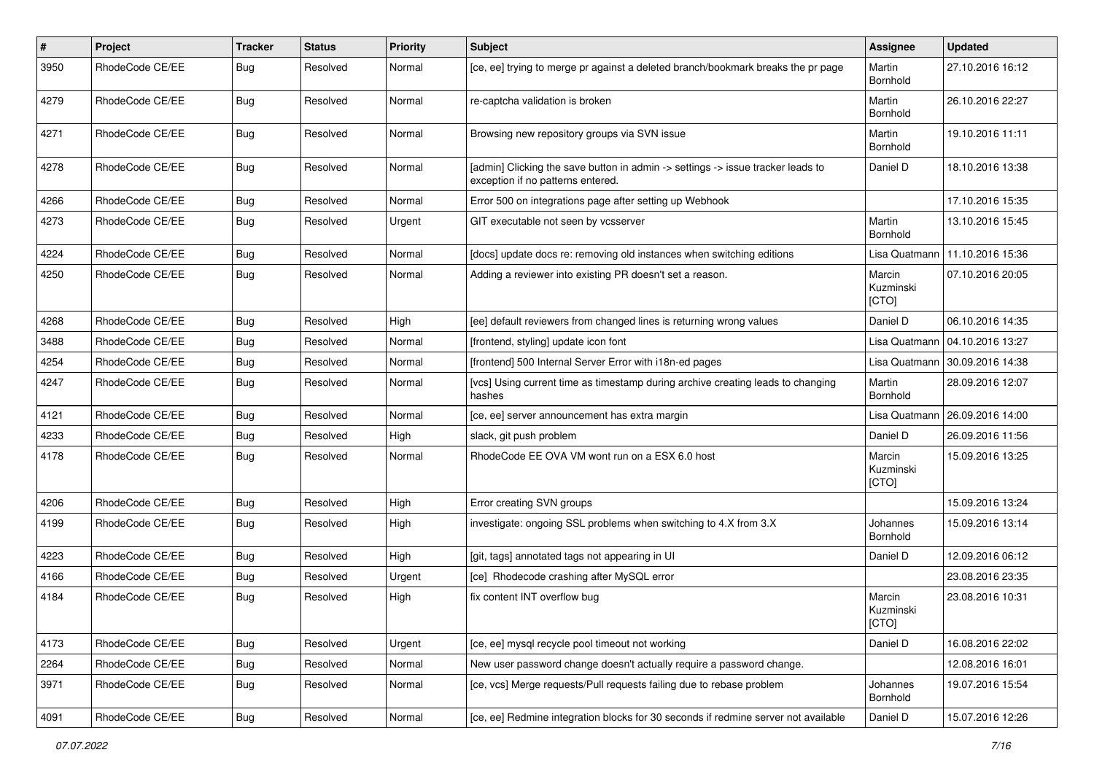| $\sharp$ | Project         | <b>Tracker</b> | <b>Status</b> | <b>Priority</b> | <b>Subject</b>                                                                                                       | <b>Assignee</b>              | <b>Updated</b>   |
|----------|-----------------|----------------|---------------|-----------------|----------------------------------------------------------------------------------------------------------------------|------------------------------|------------------|
| 3950     | RhodeCode CE/EE | Bug            | Resolved      | Normal          | [ce, ee] trying to merge pr against a deleted branch/bookmark breaks the pr page                                     | Martin<br>Bornhold           | 27.10.2016 16:12 |
| 4279     | RhodeCode CE/EE | Bug            | Resolved      | Normal          | re-captcha validation is broken                                                                                      | Martin<br>Bornhold           | 26.10.2016 22:27 |
| 4271     | RhodeCode CE/EE | Bug            | Resolved      | Normal          | Browsing new repository groups via SVN issue                                                                         | Martin<br>Bornhold           | 19.10.2016 11:11 |
| 4278     | RhodeCode CE/EE | Bug            | Resolved      | Normal          | [admin] Clicking the save button in admin -> settings -> issue tracker leads to<br>exception if no patterns entered. | Daniel D                     | 18.10.2016 13:38 |
| 4266     | RhodeCode CE/EE | Bug            | Resolved      | Normal          | Error 500 on integrations page after setting up Webhook                                                              |                              | 17.10.2016 15:35 |
| 4273     | RhodeCode CE/EE | Bug            | Resolved      | Urgent          | GIT executable not seen by vcsserver                                                                                 | Martin<br>Bornhold           | 13.10.2016 15:45 |
| 4224     | RhodeCode CE/EE | Bug            | Resolved      | Normal          | [docs] update docs re: removing old instances when switching editions                                                | Lisa Quatmann                | 11.10.2016 15:36 |
| 4250     | RhodeCode CE/EE | Bug            | Resolved      | Normal          | Adding a reviewer into existing PR doesn't set a reason.                                                             | Marcin<br>Kuzminski<br>[CTO] | 07.10.2016 20:05 |
| 4268     | RhodeCode CE/EE | Bug            | Resolved      | High            | [ee] default reviewers from changed lines is returning wrong values                                                  | Daniel D                     | 06.10.2016 14:35 |
| 3488     | RhodeCode CE/EE | <b>Bug</b>     | Resolved      | Normal          | [frontend, styling] update icon font                                                                                 | Lisa Quatmann                | 04.10.2016 13:27 |
| 4254     | RhodeCode CE/EE | Bug            | Resolved      | Normal          | [frontend] 500 Internal Server Error with i18n-ed pages                                                              | Lisa Quatmann                | 30.09.2016 14:38 |
| 4247     | RhodeCode CE/EE | Bug            | Resolved      | Normal          | [vcs] Using current time as timestamp during archive creating leads to changing<br>hashes                            | Martin<br>Bornhold           | 28.09.2016 12:07 |
| 4121     | RhodeCode CE/EE | Bug            | Resolved      | Normal          | [ce, ee] server announcement has extra margin                                                                        | Lisa Quatmann                | 26.09.2016 14:00 |
| 4233     | RhodeCode CE/EE | Bug            | Resolved      | High            | slack, git push problem                                                                                              | Daniel D                     | 26.09.2016 11:56 |
| 4178     | RhodeCode CE/EE | Bug            | Resolved      | Normal          | RhodeCode EE OVA VM wont run on a ESX 6.0 host                                                                       | Marcin<br>Kuzminski<br>[CTO] | 15.09.2016 13:25 |
| 4206     | RhodeCode CE/EE | Bug            | Resolved      | High            | Error creating SVN groups                                                                                            |                              | 15.09.2016 13:24 |
| 4199     | RhodeCode CE/EE | Bug            | Resolved      | High            | investigate: ongoing SSL problems when switching to 4.X from 3.X                                                     | Johannes<br>Bornhold         | 15.09.2016 13:14 |
| 4223     | RhodeCode CE/EE | Bug            | Resolved      | High            | [git, tags] annotated tags not appearing in UI                                                                       | Daniel D                     | 12.09.2016 06:12 |
| 4166     | RhodeCode CE/EE | Bug            | Resolved      | Urgent          | [ce] Rhodecode crashing after MySQL error                                                                            |                              | 23.08.2016 23:35 |
| 4184     | RhodeCode CE/EE | Bug            | Resolved      | High            | fix content INT overflow bug                                                                                         | Marcin<br>Kuzminski<br>[CTO] | 23.08.2016 10:31 |
| 4173     | RhodeCode CE/EE | Bug            | Resolved      | Urgent          | [ce, ee] mysql recycle pool timeout not working                                                                      | Daniel D                     | 16.08.2016 22:02 |
| 2264     | RhodeCode CE/EE | Bug            | Resolved      | Normal          | New user password change doesn't actually require a password change.                                                 |                              | 12.08.2016 16:01 |
| 3971     | RhodeCode CE/EE | Bug            | Resolved      | Normal          | [ce, vcs] Merge requests/Pull requests failing due to rebase problem                                                 | Johannes<br>Bornhold         | 19.07.2016 15:54 |
| 4091     | RhodeCode CE/EE | <b>Bug</b>     | Resolved      | Normal          | [ce, ee] Redmine integration blocks for 30 seconds if redmine server not available                                   | Daniel D                     | 15.07.2016 12:26 |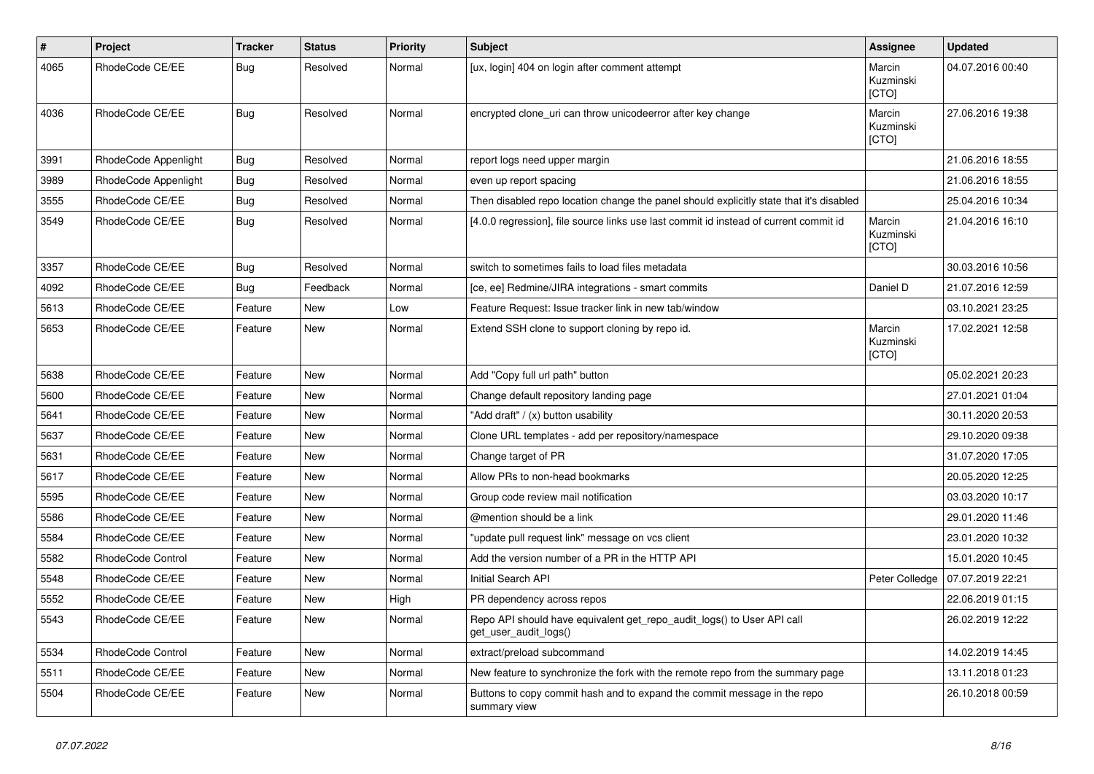| $\vert$ # | Project                  | <b>Tracker</b> | <b>Status</b> | <b>Priority</b> | <b>Subject</b>                                                                                  | Assignee                            | <b>Updated</b>   |
|-----------|--------------------------|----------------|---------------|-----------------|-------------------------------------------------------------------------------------------------|-------------------------------------|------------------|
| 4065      | RhodeCode CE/EE          | Bug            | Resolved      | Normal          | [ux, login] 404 on login after comment attempt                                                  | Marcin<br>Kuzminski<br>[CTO]        | 04.07.2016 00:40 |
| 4036      | RhodeCode CE/EE          | <b>Bug</b>     | Resolved      | Normal          | encrypted clone_uri can throw unicodeerror after key change                                     | Marcin<br>Kuzminski<br>[CTO]        | 27.06.2016 19:38 |
| 3991      | RhodeCode Appenlight     | Bug            | Resolved      | Normal          | report logs need upper margin                                                                   |                                     | 21.06.2016 18:55 |
| 3989      | RhodeCode Appenlight     | Bug            | Resolved      | Normal          | even up report spacing                                                                          |                                     | 21.06.2016 18:55 |
| 3555      | RhodeCode CE/EE          | Bug            | Resolved      | Normal          | Then disabled repo location change the panel should explicitly state that it's disabled         |                                     | 25.04.2016 10:34 |
| 3549      | RhodeCode CE/EE          | <b>Bug</b>     | Resolved      | Normal          | [4.0.0 regression], file source links use last commit id instead of current commit id           | Marcin<br>Kuzminski<br><b>[CTO]</b> | 21.04.2016 16:10 |
| 3357      | RhodeCode CE/EE          | Bug            | Resolved      | Normal          | switch to sometimes fails to load files metadata                                                |                                     | 30.03.2016 10:56 |
| 4092      | RhodeCode CE/EE          | Bug            | Feedback      | Normal          | [ce, ee] Redmine/JIRA integrations - smart commits                                              | Daniel D                            | 21.07.2016 12:59 |
| 5613      | RhodeCode CE/EE          | Feature        | <b>New</b>    | Low             | Feature Request: Issue tracker link in new tab/window                                           |                                     | 03.10.2021 23:25 |
| 5653      | RhodeCode CE/EE          | Feature        | New           | Normal          | Extend SSH clone to support cloning by repo id.                                                 | Marcin<br>Kuzminski<br>[CTO]        | 17.02.2021 12:58 |
| 5638      | RhodeCode CE/EE          | Feature        | New           | Normal          | Add "Copy full url path" button                                                                 |                                     | 05.02.2021 20:23 |
| 5600      | RhodeCode CE/EE          | Feature        | New           | Normal          | Change default repository landing page                                                          |                                     | 27.01.2021 01:04 |
| 5641      | RhodeCode CE/EE          | Feature        | <b>New</b>    | Normal          | "Add draft" / (x) button usability                                                              |                                     | 30.11.2020 20:53 |
| 5637      | RhodeCode CE/EE          | Feature        | <b>New</b>    | Normal          | Clone URL templates - add per repository/namespace                                              |                                     | 29.10.2020 09:38 |
| 5631      | RhodeCode CE/EE          | Feature        | New           | Normal          | Change target of PR                                                                             |                                     | 31.07.2020 17:05 |
| 5617      | RhodeCode CE/EE          | Feature        | New           | Normal          | Allow PRs to non-head bookmarks                                                                 |                                     | 20.05.2020 12:25 |
| 5595      | RhodeCode CE/EE          | Feature        | <b>New</b>    | Normal          | Group code review mail notification                                                             |                                     | 03.03.2020 10:17 |
| 5586      | RhodeCode CE/EE          | Feature        | New           | Normal          | @mention should be a link                                                                       |                                     | 29.01.2020 11:46 |
| 5584      | RhodeCode CE/EE          | Feature        | <b>New</b>    | Normal          | 'update pull request link" message on vcs client                                                |                                     | 23.01.2020 10:32 |
| 5582      | RhodeCode Control        | Feature        | <b>New</b>    | Normal          | Add the version number of a PR in the HTTP API                                                  |                                     | 15.01.2020 10:45 |
| 5548      | RhodeCode CE/EE          | Feature        | <b>New</b>    | Normal          | Initial Search API                                                                              | Peter Colledge                      | 07.07.2019 22:21 |
| 5552      | RhodeCode CE/EE          | Feature        | New           | High            | PR dependency across repos                                                                      |                                     | 22.06.2019 01:15 |
| 5543      | RhodeCode CE/EE          | Feature        | New           | Normal          | Repo API should have equivalent get repo audit logs() to User API call<br>get user audit logs() |                                     | 26.02.2019 12:22 |
| 5534      | <b>RhodeCode Control</b> | Feature        | <b>New</b>    | Normal          | extract/preload subcommand                                                                      |                                     | 14.02.2019 14:45 |
| 5511      | RhodeCode CE/EE          | Feature        | New           | Normal          | New feature to synchronize the fork with the remote repo from the summary page                  |                                     | 13.11.2018 01:23 |
| 5504      | RhodeCode CE/EE          | Feature        | <b>New</b>    | Normal          | Buttons to copy commit hash and to expand the commit message in the repo<br>summary view        |                                     | 26.10.2018 00:59 |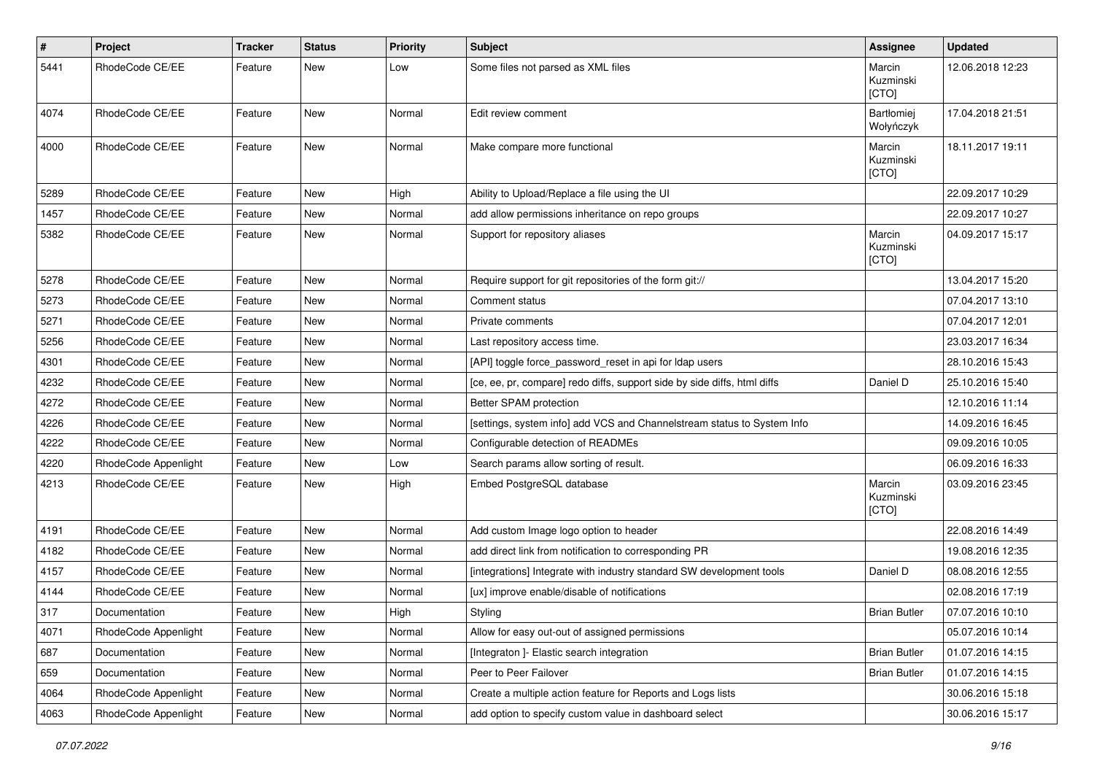| $\#$ | Project              | <b>Tracker</b> | <b>Status</b> | <b>Priority</b> | <b>Subject</b>                                                           | Assignee                     | <b>Updated</b>   |
|------|----------------------|----------------|---------------|-----------------|--------------------------------------------------------------------------|------------------------------|------------------|
| 5441 | RhodeCode CE/EE      | Feature        | New           | Low             | Some files not parsed as XML files                                       | Marcin<br>Kuzminski<br>[CTO] | 12.06.2018 12:23 |
| 4074 | RhodeCode CE/EE      | Feature        | <b>New</b>    | Normal          | Edit review comment                                                      | Bartłomiej<br>Wołyńczyk      | 17.04.2018 21:51 |
| 4000 | RhodeCode CE/EE      | Feature        | <b>New</b>    | Normal          | Make compare more functional                                             | Marcin<br>Kuzminski<br>[CTO] | 18.11.2017 19:11 |
| 5289 | RhodeCode CE/EE      | Feature        | New           | High            | Ability to Upload/Replace a file using the UI                            |                              | 22.09.2017 10:29 |
| 1457 | RhodeCode CE/EE      | Feature        | <b>New</b>    | Normal          | add allow permissions inheritance on repo groups                         |                              | 22.09.2017 10:27 |
| 5382 | RhodeCode CE/EE      | Feature        | New           | Normal          | Support for repository aliases                                           | Marcin<br>Kuzminski<br>[CTO] | 04.09.2017 15:17 |
| 5278 | RhodeCode CE/EE      | Feature        | <b>New</b>    | Normal          | Require support for git repositories of the form git://                  |                              | 13.04.2017 15:20 |
| 5273 | RhodeCode CE/EE      | Feature        | New           | Normal          | Comment status                                                           |                              | 07.04.2017 13:10 |
| 5271 | RhodeCode CE/EE      | Feature        | New           | Normal          | Private comments                                                         |                              | 07.04.2017 12:01 |
| 5256 | RhodeCode CE/EE      | Feature        | New           | Normal          | Last repository access time.                                             |                              | 23.03.2017 16:34 |
| 4301 | RhodeCode CE/EE      | Feature        | <b>New</b>    | Normal          | [API] toggle force_password_reset in api for Idap users                  |                              | 28.10.2016 15:43 |
| 4232 | RhodeCode CE/EE      | Feature        | New           | Normal          | [ce, ee, pr, compare] redo diffs, support side by side diffs, html diffs | Daniel D                     | 25.10.2016 15:40 |
| 4272 | RhodeCode CE/EE      | Feature        | New           | Normal          | Better SPAM protection                                                   |                              | 12.10.2016 11:14 |
| 4226 | RhodeCode CE/EE      | Feature        | New           | Normal          | [settings, system info] add VCS and Channelstream status to System Info  |                              | 14.09.2016 16:45 |
| 4222 | RhodeCode CE/EE      | Feature        | New           | Normal          | Configurable detection of READMEs                                        |                              | 09.09.2016 10:05 |
| 4220 | RhodeCode Appenlight | Feature        | New           | Low             | Search params allow sorting of result.                                   |                              | 06.09.2016 16:33 |
| 4213 | RhodeCode CE/EE      | Feature        | New           | High            | Embed PostgreSQL database                                                | Marcin<br>Kuzminski<br>[CTO] | 03.09.2016 23:45 |
| 4191 | RhodeCode CE/EE      | Feature        | <b>New</b>    | Normal          | Add custom Image logo option to header                                   |                              | 22.08.2016 14:49 |
| 4182 | RhodeCode CE/EE      | Feature        | New           | Normal          | add direct link from notification to corresponding PR                    |                              | 19.08.2016 12:35 |
| 4157 | RhodeCode CE/EE      | Feature        | New           | Normal          | [integrations] Integrate with industry standard SW development tools     | Daniel D                     | 08.08.2016 12:55 |
| 4144 | RhodeCode CE/EE      | Feature        | New           | Normal          | [ux] improve enable/disable of notifications                             |                              | 02.08.2016 17:19 |
| 317  | Documentation        | Feature        | New           | High            | Styling                                                                  | <b>Brian Butler</b>          | 07.07.2016 10:10 |
| 4071 | RhodeCode Appenlight | Feature        | New           | Normal          | Allow for easy out-out of assigned permissions                           |                              | 05.07.2016 10:14 |
| 687  | Documentation        | Feature        | New           | Normal          | [Integraton] - Elastic search integration                                | <b>Brian Butler</b>          | 01.07.2016 14:15 |
| 659  | Documentation        | Feature        | New           | Normal          | Peer to Peer Failover                                                    | <b>Brian Butler</b>          | 01.07.2016 14:15 |
| 4064 | RhodeCode Appenlight | Feature        | New           | Normal          | Create a multiple action feature for Reports and Logs lists              |                              | 30.06.2016 15:18 |
| 4063 | RhodeCode Appenlight | Feature        | New           | Normal          | add option to specify custom value in dashboard select                   |                              | 30.06.2016 15:17 |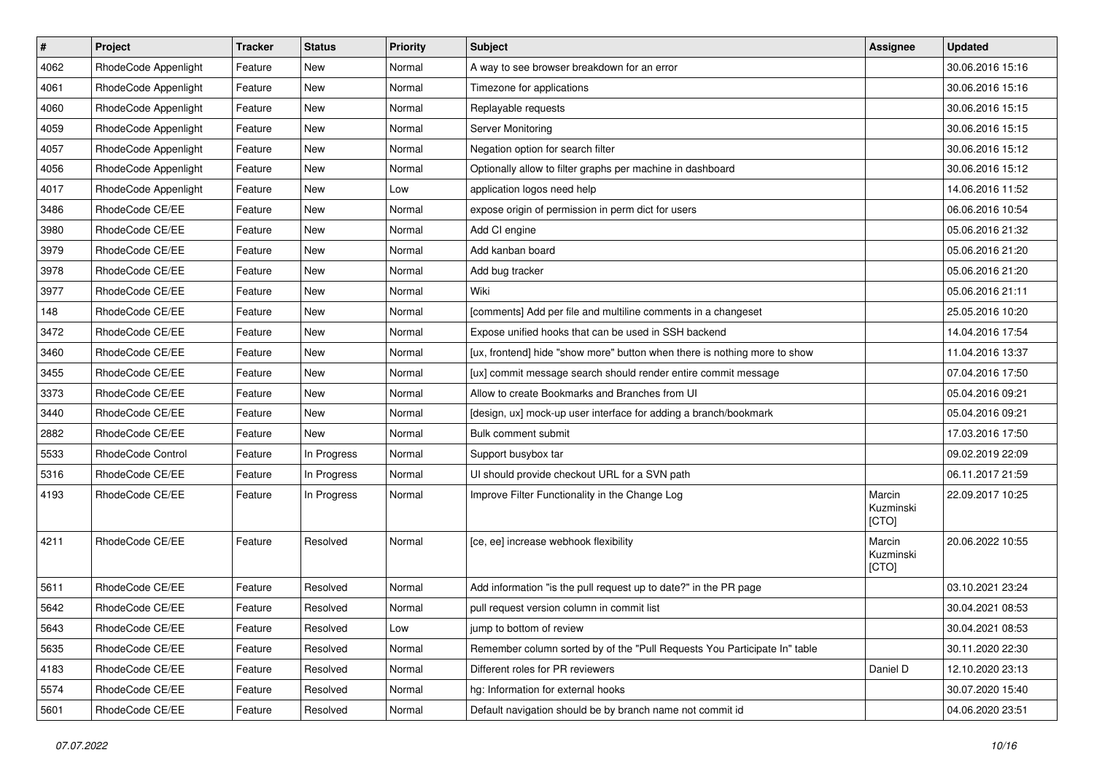| $\vert$ # | Project              | <b>Tracker</b> | <b>Status</b> | <b>Priority</b> | Subject                                                                   | <b>Assignee</b>              | <b>Updated</b>   |
|-----------|----------------------|----------------|---------------|-----------------|---------------------------------------------------------------------------|------------------------------|------------------|
| 4062      | RhodeCode Appenlight | Feature        | New           | Normal          | A way to see browser breakdown for an error                               |                              | 30.06.2016 15:16 |
| 4061      | RhodeCode Appenlight | Feature        | New           | Normal          | Timezone for applications                                                 |                              | 30.06.2016 15:16 |
| 4060      | RhodeCode Appenlight | Feature        | New           | Normal          | Replayable requests                                                       |                              | 30.06.2016 15:15 |
| 4059      | RhodeCode Appenlight | Feature        | New           | Normal          | Server Monitoring                                                         |                              | 30.06.2016 15:15 |
| 4057      | RhodeCode Appenlight | Feature        | New           | Normal          | Negation option for search filter                                         |                              | 30.06.2016 15:12 |
| 4056      | RhodeCode Appenlight | Feature        | New           | Normal          | Optionally allow to filter graphs per machine in dashboard                |                              | 30.06.2016 15:12 |
| 4017      | RhodeCode Appenlight | Feature        | New           | Low             | application logos need help                                               |                              | 14.06.2016 11:52 |
| 3486      | RhodeCode CE/EE      | Feature        | New           | Normal          | expose origin of permission in perm dict for users                        |                              | 06.06.2016 10:54 |
| 3980      | RhodeCode CE/EE      | Feature        | New           | Normal          | Add CI engine                                                             |                              | 05.06.2016 21:32 |
| 3979      | RhodeCode CE/EE      | Feature        | <b>New</b>    | Normal          | Add kanban board                                                          |                              | 05.06.2016 21:20 |
| 3978      | RhodeCode CE/EE      | Feature        | New           | Normal          | Add bug tracker                                                           |                              | 05.06.2016 21:20 |
| 3977      | RhodeCode CE/EE      | Feature        | New           | Normal          | Wiki                                                                      |                              | 05.06.2016 21:11 |
| 148       | RhodeCode CE/EE      | Feature        | New           | Normal          | [comments] Add per file and multiline comments in a changeset             |                              | 25.05.2016 10:20 |
| 3472      | RhodeCode CE/EE      | Feature        | New           | Normal          | Expose unified hooks that can be used in SSH backend                      |                              | 14.04.2016 17:54 |
| 3460      | RhodeCode CE/EE      | Feature        | <b>New</b>    | Normal          | [ux, frontend] hide "show more" button when there is nothing more to show |                              | 11.04.2016 13:37 |
| 3455      | RhodeCode CE/EE      | Feature        | New           | Normal          | [ux] commit message search should render entire commit message            |                              | 07.04.2016 17:50 |
| 3373      | RhodeCode CE/EE      | Feature        | New           | Normal          | Allow to create Bookmarks and Branches from UI                            |                              | 05.04.2016 09:21 |
| 3440      | RhodeCode CE/EE      | Feature        | New           | Normal          | [design, ux] mock-up user interface for adding a branch/bookmark          |                              | 05.04.2016 09:21 |
| 2882      | RhodeCode CE/EE      | Feature        | New           | Normal          | Bulk comment submit                                                       |                              | 17.03.2016 17:50 |
| 5533      | RhodeCode Control    | Feature        | In Progress   | Normal          | Support busybox tar                                                       |                              | 09.02.2019 22:09 |
| 5316      | RhodeCode CE/EE      | Feature        | In Progress   | Normal          | UI should provide checkout URL for a SVN path                             |                              | 06.11.2017 21:59 |
| 4193      | RhodeCode CE/EE      | Feature        | In Progress   | Normal          | Improve Filter Functionality in the Change Log                            | Marcin<br>Kuzminski<br>[CTO] | 22.09.2017 10:25 |
| 4211      | RhodeCode CE/EE      | Feature        | Resolved      | Normal          | [ce, ee] increase webhook flexibility                                     | Marcin<br>Kuzminski<br>[CTO] | 20.06.2022 10:55 |
| 5611      | RhodeCode CE/EE      | Feature        | Resolved      | Normal          | Add information "is the pull request up to date?" in the PR page          |                              | 03.10.2021 23:24 |
| 5642      | RhodeCode CE/EE      | Feature        | Resolved      | Normal          | pull request version column in commit list                                |                              | 30.04.2021 08:53 |
| 5643      | RhodeCode CE/EE      | Feature        | Resolved      | Low             | jump to bottom of review                                                  |                              | 30.04.2021 08:53 |
| 5635      | RhodeCode CE/EE      | Feature        | Resolved      | Normal          | Remember column sorted by of the "Pull Requests You Participate In" table |                              | 30.11.2020 22:30 |
| 4183      | RhodeCode CE/EE      | Feature        | Resolved      | Normal          | Different roles for PR reviewers                                          | Daniel D                     | 12.10.2020 23:13 |
| 5574      | RhodeCode CE/EE      | Feature        | Resolved      | Normal          | hg: Information for external hooks                                        |                              | 30.07.2020 15:40 |
| 5601      | RhodeCode CE/EE      | Feature        | Resolved      | Normal          | Default navigation should be by branch name not commit id                 |                              | 04.06.2020 23:51 |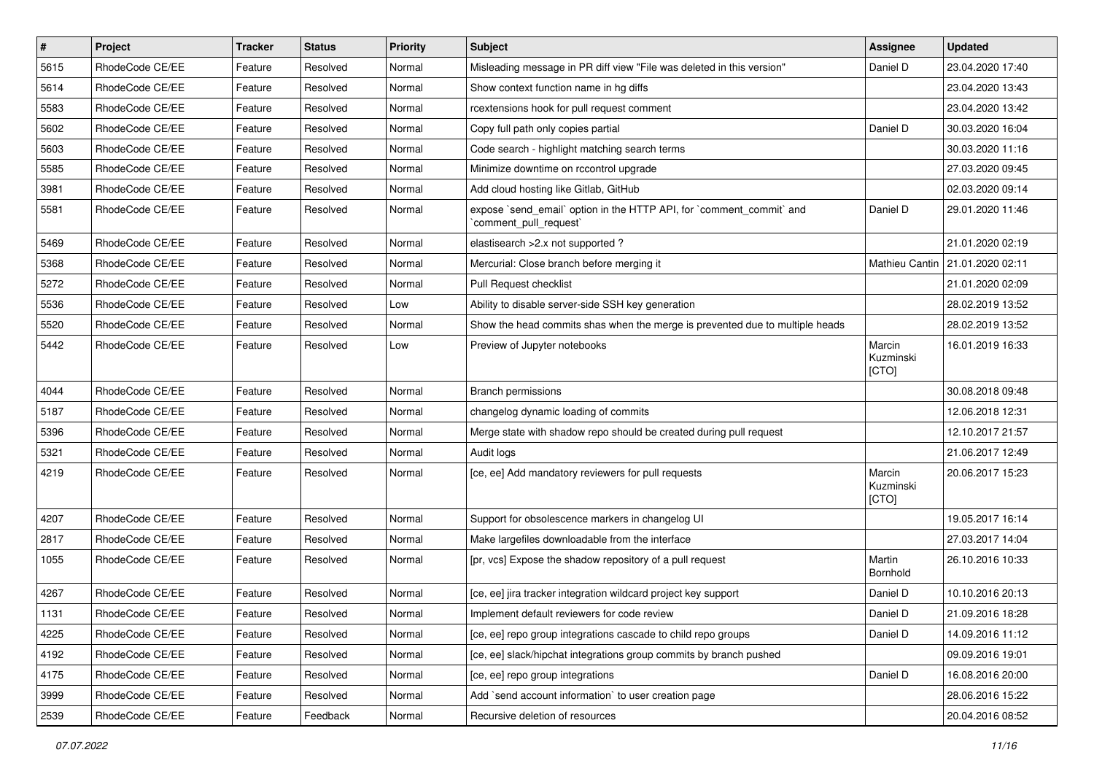| $\pmb{\#}$ | Project         | <b>Tracker</b> | <b>Status</b> | Priority | Subject                                                                                        | <b>Assignee</b>              | <b>Updated</b>                    |
|------------|-----------------|----------------|---------------|----------|------------------------------------------------------------------------------------------------|------------------------------|-----------------------------------|
| 5615       | RhodeCode CE/EE | Feature        | Resolved      | Normal   | Misleading message in PR diff view "File was deleted in this version"                          | Daniel D                     | 23.04.2020 17:40                  |
| 5614       | RhodeCode CE/EE | Feature        | Resolved      | Normal   | Show context function name in hg diffs                                                         |                              | 23.04.2020 13:43                  |
| 5583       | RhodeCode CE/EE | Feature        | Resolved      | Normal   | rcextensions hook for pull request comment                                                     |                              | 23.04.2020 13:42                  |
| 5602       | RhodeCode CE/EE | Feature        | Resolved      | Normal   | Copy full path only copies partial                                                             | Daniel D                     | 30.03.2020 16:04                  |
| 5603       | RhodeCode CE/EE | Feature        | Resolved      | Normal   | Code search - highlight matching search terms                                                  |                              | 30.03.2020 11:16                  |
| 5585       | RhodeCode CE/EE | Feature        | Resolved      | Normal   | Minimize downtime on rccontrol upgrade                                                         |                              | 27.03.2020 09:45                  |
| 3981       | RhodeCode CE/EE | Feature        | Resolved      | Normal   | Add cloud hosting like Gitlab, GitHub                                                          |                              | 02.03.2020 09:14                  |
| 5581       | RhodeCode CE/EE | Feature        | Resolved      | Normal   | expose `send_email` option in the HTTP API, for `comment_commit` and<br>`comment_pull_request` | Daniel D                     | 29.01.2020 11:46                  |
| 5469       | RhodeCode CE/EE | Feature        | Resolved      | Normal   | elastisearch > 2.x not supported ?                                                             |                              | 21.01.2020 02:19                  |
| 5368       | RhodeCode CE/EE | Feature        | Resolved      | Normal   | Mercurial: Close branch before merging it                                                      |                              | Mathieu Cantin   21.01.2020 02:11 |
| 5272       | RhodeCode CE/EE | Feature        | Resolved      | Normal   | Pull Request checklist                                                                         |                              | 21.01.2020 02:09                  |
| 5536       | RhodeCode CE/EE | Feature        | Resolved      | Low      | Ability to disable server-side SSH key generation                                              |                              | 28.02.2019 13:52                  |
| 5520       | RhodeCode CE/EE | Feature        | Resolved      | Normal   | Show the head commits shas when the merge is prevented due to multiple heads                   |                              | 28.02.2019 13:52                  |
| 5442       | RhodeCode CE/EE | Feature        | Resolved      | Low      | Preview of Jupyter notebooks                                                                   | Marcin<br>Kuzminski<br>[CTO] | 16.01.2019 16:33                  |
| 4044       | RhodeCode CE/EE | Feature        | Resolved      | Normal   | <b>Branch permissions</b>                                                                      |                              | 30.08.2018 09:48                  |
| 5187       | RhodeCode CE/EE | Feature        | Resolved      | Normal   | changelog dynamic loading of commits                                                           |                              | 12.06.2018 12:31                  |
| 5396       | RhodeCode CE/EE | Feature        | Resolved      | Normal   | Merge state with shadow repo should be created during pull request                             |                              | 12.10.2017 21:57                  |
| 5321       | RhodeCode CE/EE | Feature        | Resolved      | Normal   | Audit logs                                                                                     |                              | 21.06.2017 12:49                  |
| 4219       | RhodeCode CE/EE | Feature        | Resolved      | Normal   | [ce, ee] Add mandatory reviewers for pull requests                                             | Marcin<br>Kuzminski<br>[CTO] | 20.06.2017 15:23                  |
| 4207       | RhodeCode CE/EE | Feature        | Resolved      | Normal   | Support for obsolescence markers in changelog UI                                               |                              | 19.05.2017 16:14                  |
| 2817       | RhodeCode CE/EE | Feature        | Resolved      | Normal   | Make largefiles downloadable from the interface                                                |                              | 27.03.2017 14:04                  |
| 1055       | RhodeCode CE/EE | Feature        | Resolved      | Normal   | [pr, vcs] Expose the shadow repository of a pull request                                       | Martin<br>Bornhold           | 26.10.2016 10:33                  |
| 4267       | RhodeCode CE/EE | Feature        | Resolved      | Normal   | [ce, ee] jira tracker integration wildcard project key support                                 | Daniel D                     | 10.10.2016 20:13                  |
| 1131       | RhodeCode CE/EE | Feature        | Resolved      | Normal   | Implement default reviewers for code review                                                    | Daniel D                     | 21.09.2016 18:28                  |
| 4225       | RhodeCode CE/EE | Feature        | Resolved      | Normal   | [ce, ee] repo group integrations cascade to child repo groups                                  | Daniel D                     | 14.09.2016 11:12                  |
| 4192       | RhodeCode CE/EE | Feature        | Resolved      | Normal   | [ce, ee] slack/hipchat integrations group commits by branch pushed                             |                              | 09.09.2016 19:01                  |
| 4175       | RhodeCode CE/EE | Feature        | Resolved      | Normal   | [ce, ee] repo group integrations                                                               | Daniel D                     | 16.08.2016 20:00                  |
| 3999       | RhodeCode CE/EE | Feature        | Resolved      | Normal   | Add `send account information` to user creation page                                           |                              | 28.06.2016 15:22                  |
| 2539       | RhodeCode CE/EE | Feature        | Feedback      | Normal   | Recursive deletion of resources                                                                |                              | 20.04.2016 08:52                  |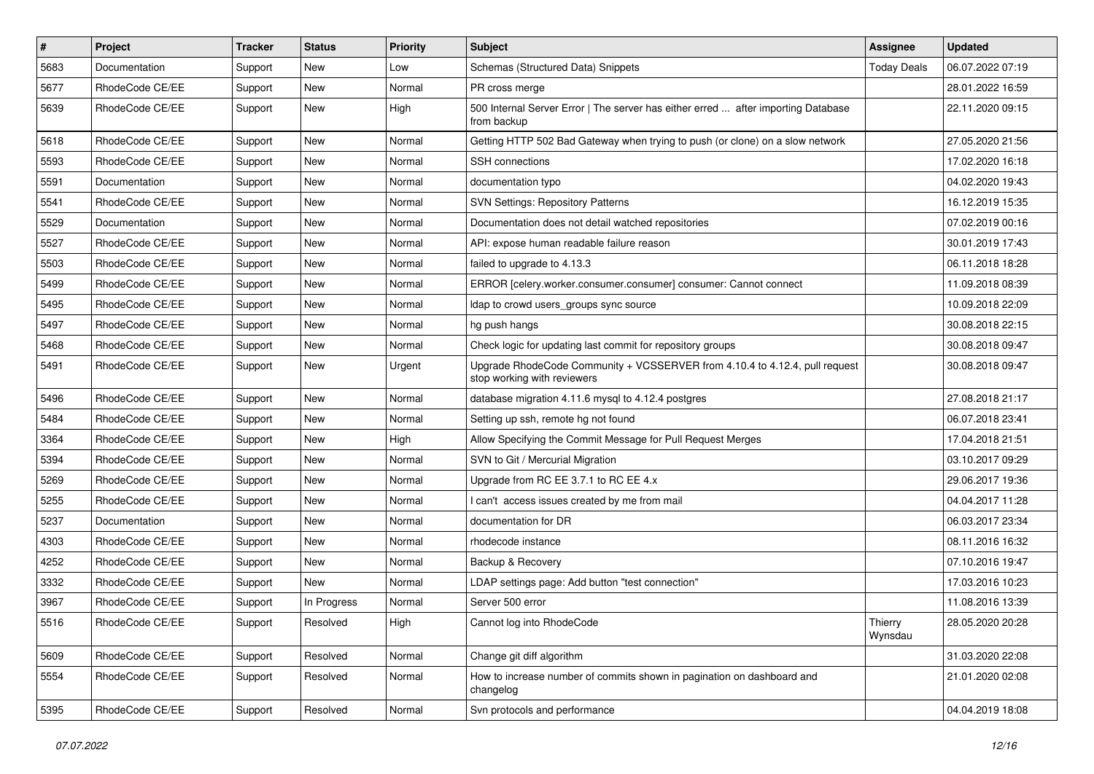| $\vert$ # | Project         | Tracker | <b>Status</b> | <b>Priority</b> | Subject                                                                                                    | Assignee           | <b>Updated</b>   |
|-----------|-----------------|---------|---------------|-----------------|------------------------------------------------------------------------------------------------------------|--------------------|------------------|
| 5683      | Documentation   | Support | New           | Low             | Schemas (Structured Data) Snippets                                                                         | <b>Today Deals</b> | 06.07.2022 07:19 |
| 5677      | RhodeCode CE/EE | Support | <b>New</b>    | Normal          | PR cross merge                                                                                             |                    | 28.01.2022 16:59 |
| 5639      | RhodeCode CE/EE | Support | New           | High            | 500 Internal Server Error   The server has either erred  after importing Database<br>from backup           |                    | 22.11.2020 09:15 |
| 5618      | RhodeCode CE/EE | Support | New           | Normal          | Getting HTTP 502 Bad Gateway when trying to push (or clone) on a slow network                              |                    | 27.05.2020 21:56 |
| 5593      | RhodeCode CE/EE | Support | New           | Normal          | <b>SSH</b> connections                                                                                     |                    | 17.02.2020 16:18 |
| 5591      | Documentation   | Support | New           | Normal          | documentation typo                                                                                         |                    | 04.02.2020 19:43 |
| 5541      | RhodeCode CE/EE | Support | New           | Normal          | <b>SVN Settings: Repository Patterns</b>                                                                   |                    | 16.12.2019 15:35 |
| 5529      | Documentation   | Support | New           | Normal          | Documentation does not detail watched repositories                                                         |                    | 07.02.2019 00:16 |
| 5527      | RhodeCode CE/EE | Support | New           | Normal          | API: expose human readable failure reason                                                                  |                    | 30.01.2019 17:43 |
| 5503      | RhodeCode CE/EE | Support | New           | Normal          | failed to upgrade to 4.13.3                                                                                |                    | 06.11.2018 18:28 |
| 5499      | RhodeCode CE/EE | Support | New           | Normal          | ERROR [celery.worker.consumer.consumer] consumer: Cannot connect                                           |                    | 11.09.2018 08:39 |
| 5495      | RhodeCode CE/EE | Support | New           | Normal          | Idap to crowd users_groups sync source                                                                     |                    | 10.09.2018 22:09 |
| 5497      | RhodeCode CE/EE | Support | New           | Normal          | hg push hangs                                                                                              |                    | 30.08.2018 22:15 |
| 5468      | RhodeCode CE/EE | Support | New           | Normal          | Check logic for updating last commit for repository groups                                                 |                    | 30.08.2018 09:47 |
| 5491      | RhodeCode CE/EE | Support | New           | Urgent          | Upgrade RhodeCode Community + VCSSERVER from 4.10.4 to 4.12.4, pull request<br>stop working with reviewers |                    | 30.08.2018 09:47 |
| 5496      | RhodeCode CE/EE | Support | New           | Normal          | database migration 4.11.6 mysql to 4.12.4 postgres                                                         |                    | 27.08.2018 21:17 |
| 5484      | RhodeCode CE/EE | Support | New           | Normal          | Setting up ssh, remote hg not found                                                                        |                    | 06.07.2018 23:41 |
| 3364      | RhodeCode CE/EE | Support | New           | High            | Allow Specifying the Commit Message for Pull Request Merges                                                |                    | 17.04.2018 21:51 |
| 5394      | RhodeCode CE/EE | Support | New           | Normal          | SVN to Git / Mercurial Migration                                                                           |                    | 03.10.2017 09:29 |
| 5269      | RhodeCode CE/EE | Support | New           | Normal          | Upgrade from RC EE 3.7.1 to RC EE 4.x                                                                      |                    | 29.06.2017 19:36 |
| 5255      | RhodeCode CE/EE | Support | New           | Normal          | I can't access issues created by me from mail                                                              |                    | 04.04.2017 11:28 |
| 5237      | Documentation   | Support | New           | Normal          | documentation for DR                                                                                       |                    | 06.03.2017 23:34 |
| 4303      | RhodeCode CE/EE | Support | New           | Normal          | rhodecode instance                                                                                         |                    | 08.11.2016 16:32 |
| 4252      | RhodeCode CE/EE | Support | New           | Normal          | Backup & Recovery                                                                                          |                    | 07.10.2016 19:47 |
| 3332      | RhodeCode CE/EE | Support | New           | Normal          | LDAP settings page: Add button "test connection"                                                           |                    | 17.03.2016 10:23 |
| 3967      | RhodeCode CE/EE | Support | In Progress   | Normal          | Server 500 error                                                                                           |                    | 11.08.2016 13:39 |
| 5516      | RhodeCode CE/EE | Support | Resolved      | High            | Cannot log into RhodeCode                                                                                  | Thierry<br>Wynsdau | 28.05.2020 20:28 |
| 5609      | RhodeCode CE/EE | Support | Resolved      | Normal          | Change git diff algorithm                                                                                  |                    | 31.03.2020 22:08 |
| 5554      | RhodeCode CE/EE | Support | Resolved      | Normal          | How to increase number of commits shown in pagination on dashboard and<br>changelog                        |                    | 21.01.2020 02:08 |
| 5395      | RhodeCode CE/EE | Support | Resolved      | Normal          | Svn protocols and performance                                                                              |                    | 04.04.2019 18:08 |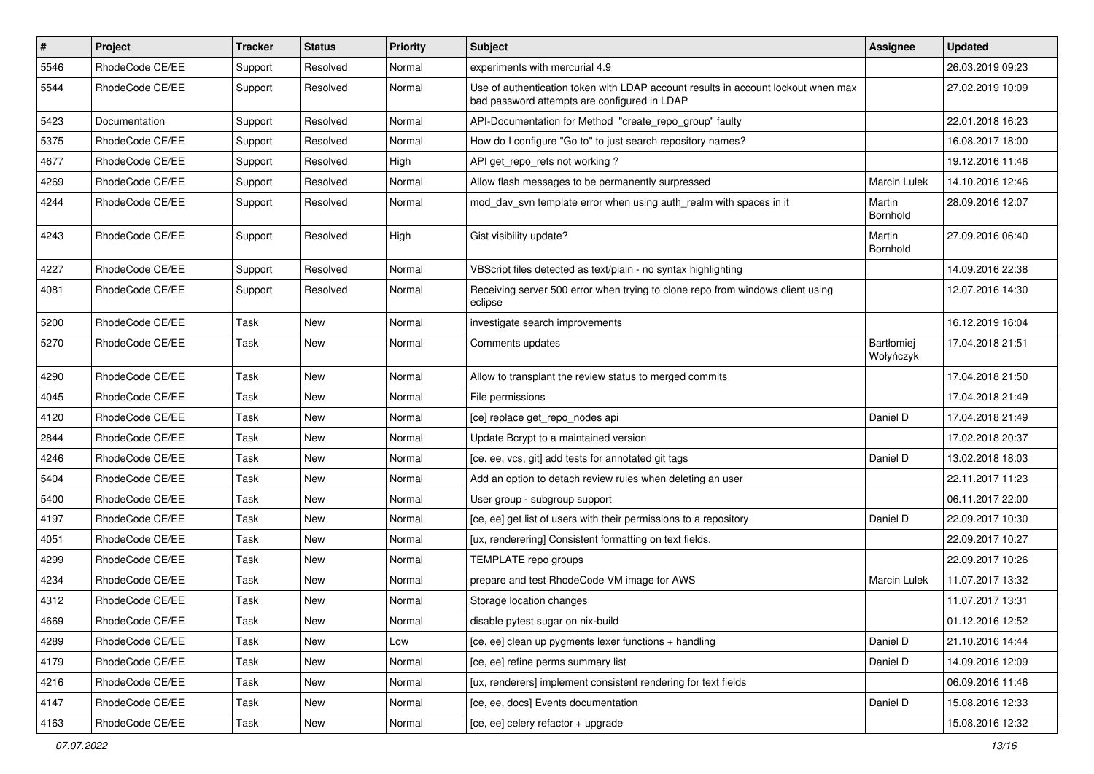| $\pmb{\#}$ | Project         | <b>Tracker</b> | <b>Status</b> | <b>Priority</b> | <b>Subject</b>                                                                                                                    | <b>Assignee</b>         | <b>Updated</b>   |
|------------|-----------------|----------------|---------------|-----------------|-----------------------------------------------------------------------------------------------------------------------------------|-------------------------|------------------|
| 5546       | RhodeCode CE/EE | Support        | Resolved      | Normal          | experiments with mercurial 4.9                                                                                                    |                         | 26.03.2019 09:23 |
| 5544       | RhodeCode CE/EE | Support        | Resolved      | Normal          | Use of authentication token with LDAP account results in account lockout when max<br>bad password attempts are configured in LDAP |                         | 27.02.2019 10:09 |
| 5423       | Documentation   | Support        | Resolved      | Normal          | API-Documentation for Method "create_repo_group" faulty                                                                           |                         | 22.01.2018 16:23 |
| 5375       | RhodeCode CE/EE | Support        | Resolved      | Normal          | How do I configure "Go to" to just search repository names?                                                                       |                         | 16.08.2017 18:00 |
| 4677       | RhodeCode CE/EE | Support        | Resolved      | High            | API get_repo_refs not working?                                                                                                    |                         | 19.12.2016 11:46 |
| 4269       | RhodeCode CE/EE | Support        | Resolved      | Normal          | Allow flash messages to be permanently surpressed                                                                                 | <b>Marcin Lulek</b>     | 14.10.2016 12:46 |
| 4244       | RhodeCode CE/EE | Support        | Resolved      | Normal          | mod dav svn template error when using auth realm with spaces in it                                                                | Martin<br>Bornhold      | 28.09.2016 12:07 |
| 4243       | RhodeCode CE/EE | Support        | Resolved      | High            | Gist visibility update?                                                                                                           | Martin<br>Bornhold      | 27.09.2016 06:40 |
| 4227       | RhodeCode CE/EE | Support        | Resolved      | Normal          | VBScript files detected as text/plain - no syntax highlighting                                                                    |                         | 14.09.2016 22:38 |
| 4081       | RhodeCode CE/EE | Support        | Resolved      | Normal          | Receiving server 500 error when trying to clone repo from windows client using<br>eclipse                                         |                         | 12.07.2016 14:30 |
| 5200       | RhodeCode CE/EE | Task           | New           | Normal          | investigate search improvements                                                                                                   |                         | 16.12.2019 16:04 |
| 5270       | RhodeCode CE/EE | Task           | New           | Normal          | Comments updates                                                                                                                  | Bartłomiej<br>Wołyńczyk | 17.04.2018 21:51 |
| 4290       | RhodeCode CE/EE | Task           | <b>New</b>    | Normal          | Allow to transplant the review status to merged commits                                                                           |                         | 17.04.2018 21:50 |
| 4045       | RhodeCode CE/EE | Task           | New           | Normal          | File permissions                                                                                                                  |                         | 17.04.2018 21:49 |
| 4120       | RhodeCode CE/EE | Task           | New           | Normal          | [ce] replace get_repo_nodes api                                                                                                   | Daniel D                | 17.04.2018 21:49 |
| 2844       | RhodeCode CE/EE | Task           | <b>New</b>    | Normal          | Update Bcrypt to a maintained version                                                                                             |                         | 17.02.2018 20:37 |
| 4246       | RhodeCode CE/EE | Task           | New           | Normal          | [ce, ee, vcs, git] add tests for annotated git tags                                                                               | Daniel D                | 13.02.2018 18:03 |
| 5404       | RhodeCode CE/EE | Task           | New           | Normal          | Add an option to detach review rules when deleting an user                                                                        |                         | 22.11.2017 11:23 |
| 5400       | RhodeCode CE/EE | Task           | New           | Normal          | User group - subgroup support                                                                                                     |                         | 06.11.2017 22:00 |
| 4197       | RhodeCode CE/EE | Task           | New           | Normal          | [ce, ee] get list of users with their permissions to a repository                                                                 | Daniel D                | 22.09.2017 10:30 |
| 4051       | RhodeCode CE/EE | Task           | New           | Normal          | [ux, renderering] Consistent formatting on text fields.                                                                           |                         | 22.09.2017 10:27 |
| 4299       | RhodeCode CE/EE | Task           | New           | Normal          | TEMPLATE repo groups                                                                                                              |                         | 22.09.2017 10:26 |
| 4234       | RhodeCode CE/EE | Task           | New           | Normal          | prepare and test RhodeCode VM image for AWS                                                                                       | Marcin Lulek            | 11.07.2017 13:32 |
| 4312       | RhodeCode CE/EE | Task           | New           | Normal          | Storage location changes                                                                                                          |                         | 11.07.2017 13:31 |
| 4669       | RhodeCode CE/EE | Task           | New           | Normal          | disable pytest sugar on nix-build                                                                                                 |                         | 01.12.2016 12:52 |
| 4289       | RhodeCode CE/EE | Task           | <b>New</b>    | Low             | [ce, ee] clean up pygments lexer functions + handling                                                                             | Daniel D                | 21.10.2016 14:44 |
| 4179       | RhodeCode CE/EE | Task           | New           | Normal          | [ce, ee] refine perms summary list                                                                                                | Daniel D                | 14.09.2016 12:09 |
| 4216       | RhodeCode CE/EE | Task           | New           | Normal          | [ux, renderers] implement consistent rendering for text fields                                                                    |                         | 06.09.2016 11:46 |
| 4147       | RhodeCode CE/EE | Task           | New           | Normal          | [ce, ee, docs] Events documentation                                                                                               | Daniel D                | 15.08.2016 12:33 |
| 4163       | RhodeCode CE/EE | Task           | New           | Normal          | [ce, ee] celery refactor + upgrade                                                                                                |                         | 15.08.2016 12:32 |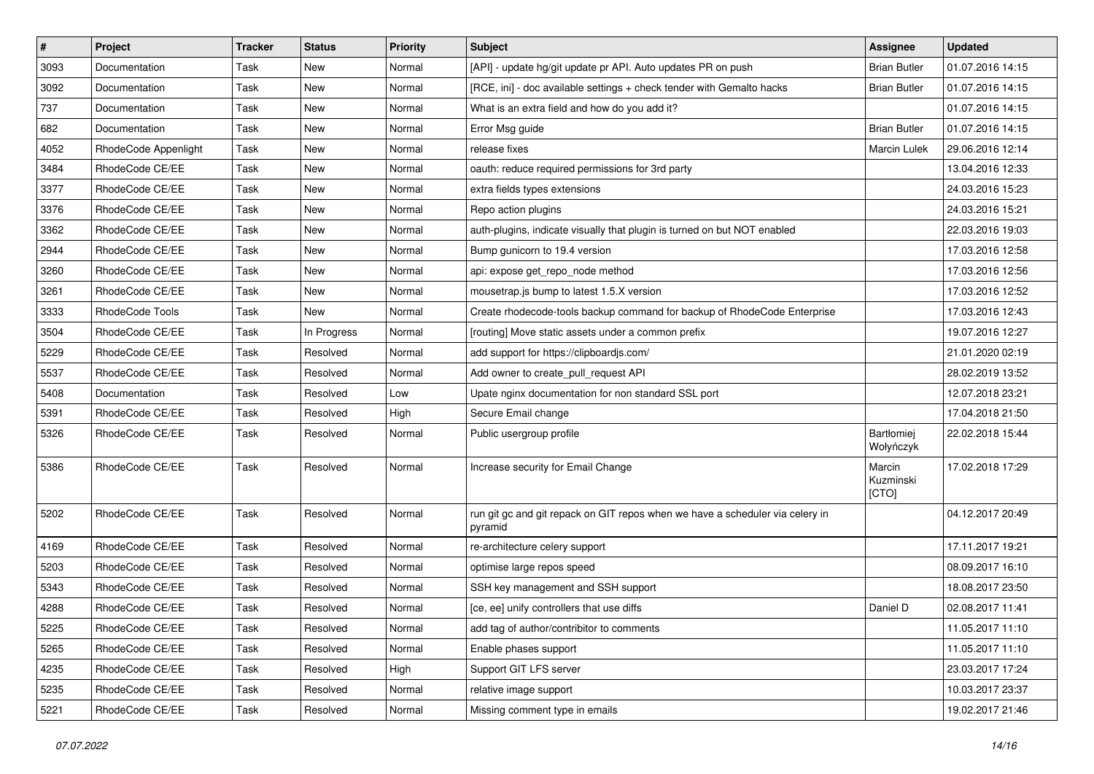| $\vert$ # | Project              | <b>Tracker</b> | <b>Status</b> | Priority | <b>Subject</b>                                                                           | <b>Assignee</b>              | <b>Updated</b>   |
|-----------|----------------------|----------------|---------------|----------|------------------------------------------------------------------------------------------|------------------------------|------------------|
| 3093      | Documentation        | Task           | New           | Normal   | [API] - update hg/git update pr API. Auto updates PR on push                             | <b>Brian Butler</b>          | 01.07.2016 14:15 |
| 3092      | Documentation        | Task           | <b>New</b>    | Normal   | [RCE, ini] - doc available settings + check tender with Gemalto hacks                    | <b>Brian Butler</b>          | 01.07.2016 14:15 |
| 737       | Documentation        | Task           | New           | Normal   | What is an extra field and how do you add it?                                            |                              | 01.07.2016 14:15 |
| 682       | Documentation        | Task           | New           | Normal   | Error Msg guide                                                                          | <b>Brian Butler</b>          | 01.07.2016 14:15 |
| 4052      | RhodeCode Appenlight | Task           | <b>New</b>    | Normal   | release fixes                                                                            | Marcin Lulek                 | 29.06.2016 12:14 |
| 3484      | RhodeCode CE/EE      | Task           | New           | Normal   | oauth: reduce required permissions for 3rd party                                         |                              | 13.04.2016 12:33 |
| 3377      | RhodeCode CE/EE      | Task           | <b>New</b>    | Normal   | extra fields types extensions                                                            |                              | 24.03.2016 15:23 |
| 3376      | RhodeCode CE/EE      | Task           | New           | Normal   | Repo action plugins                                                                      |                              | 24.03.2016 15:21 |
| 3362      | RhodeCode CE/EE      | Task           | <b>New</b>    | Normal   | auth-plugins, indicate visually that plugin is turned on but NOT enabled                 |                              | 22.03.2016 19:03 |
| 2944      | RhodeCode CE/EE      | Task           | <b>New</b>    | Normal   | Bump gunicorn to 19.4 version                                                            |                              | 17.03.2016 12:58 |
| 3260      | RhodeCode CE/EE      | Task           | New           | Normal   | api: expose get_repo_node method                                                         |                              | 17.03.2016 12:56 |
| 3261      | RhodeCode CE/EE      | Task           | New           | Normal   | mousetrap.js bump to latest 1.5.X version                                                |                              | 17.03.2016 12:52 |
| 3333      | RhodeCode Tools      | Task           | <b>New</b>    | Normal   | Create rhodecode-tools backup command for backup of RhodeCode Enterprise                 |                              | 17.03.2016 12:43 |
| 3504      | RhodeCode CE/EE      | Task           | In Progress   | Normal   | [routing] Move static assets under a common prefix                                       |                              | 19.07.2016 12:27 |
| 5229      | RhodeCode CE/EE      | Task           | Resolved      | Normal   | add support for https://clipboardjs.com/                                                 |                              | 21.01.2020 02:19 |
| 5537      | RhodeCode CE/EE      | Task           | Resolved      | Normal   | Add owner to create_pull_request API                                                     |                              | 28.02.2019 13:52 |
| 5408      | Documentation        | Task           | Resolved      | Low      | Upate nginx documentation for non standard SSL port                                      |                              | 12.07.2018 23:21 |
| 5391      | RhodeCode CE/EE      | Task           | Resolved      | High     | Secure Email change                                                                      |                              | 17.04.2018 21:50 |
| 5326      | RhodeCode CE/EE      | Task           | Resolved      | Normal   | Public usergroup profile                                                                 | Bartłomiej<br>Wołyńczyk      | 22.02.2018 15:44 |
| 5386      | RhodeCode CE/EE      | Task           | Resolved      | Normal   | Increase security for Email Change                                                       | Marcin<br>Kuzminski<br>[CTO] | 17.02.2018 17:29 |
| 5202      | RhodeCode CE/EE      | Task           | Resolved      | Normal   | run git gc and git repack on GIT repos when we have a scheduler via celery in<br>pyramid |                              | 04.12.2017 20:49 |
| 4169      | RhodeCode CE/EE      | Task           | Resolved      | Normal   | re-architecture celery support                                                           |                              | 17.11.2017 19:21 |
| 5203      | RhodeCode CE/EE      | Task           | Resolved      | Normal   | optimise large repos speed                                                               |                              | 08.09.2017 16:10 |
| 5343      | RhodeCode CE/EE      | Task           | Resolved      | Normal   | SSH key management and SSH support                                                       |                              | 18.08.2017 23:50 |
| 4288      | RhodeCode CE/EE      | Task           | Resolved      | Normal   | [ce, ee] unify controllers that use diffs                                                | Daniel D                     | 02.08.2017 11:41 |
| 5225      | RhodeCode CE/EE      | Task           | Resolved      | Normal   | add tag of author/contribitor to comments                                                |                              | 11.05.2017 11:10 |
| 5265      | RhodeCode CE/EE      | Task           | Resolved      | Normal   | Enable phases support                                                                    |                              | 11.05.2017 11:10 |
| 4235      | RhodeCode CE/EE      | Task           | Resolved      | High     | Support GIT LFS server                                                                   |                              | 23.03.2017 17:24 |
| 5235      | RhodeCode CE/EE      | Task           | Resolved      | Normal   | relative image support                                                                   |                              | 10.03.2017 23:37 |
| 5221      | RhodeCode CE/EE      | Task           | Resolved      | Normal   | Missing comment type in emails                                                           |                              | 19.02.2017 21:46 |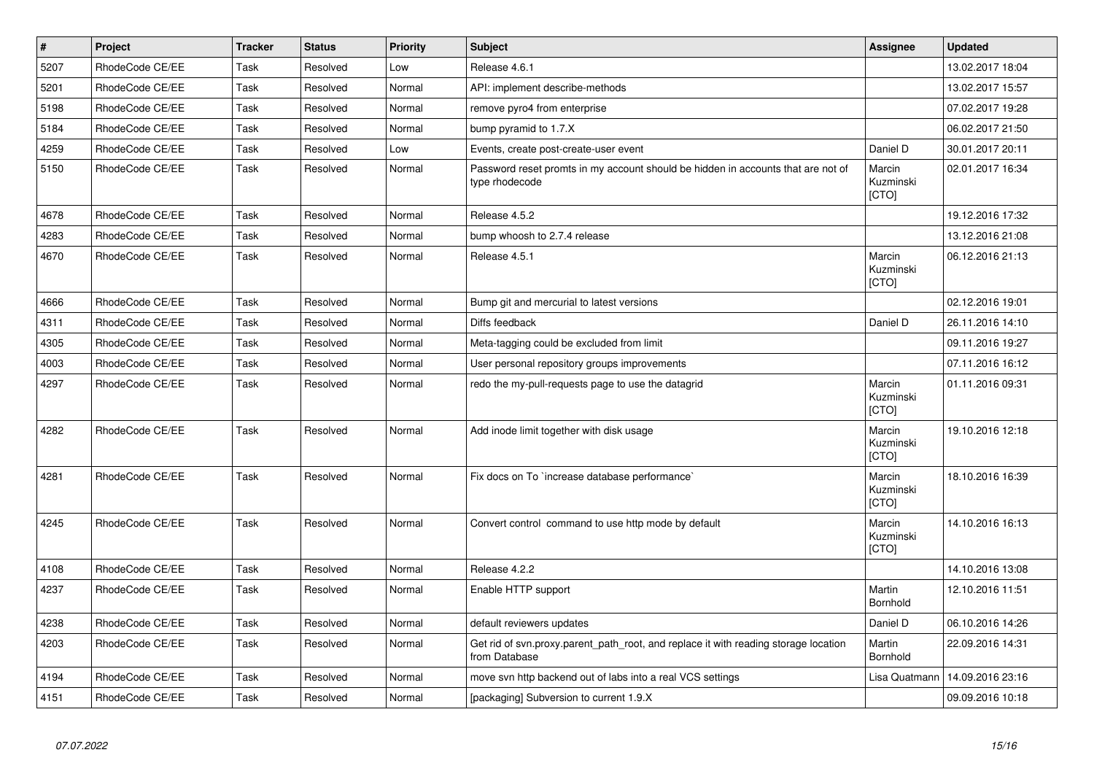| $\vert$ # | <b>Project</b>  | <b>Tracker</b> | <b>Status</b> | <b>Priority</b> | <b>Subject</b>                                                                                       | Assignee                            | <b>Updated</b>   |
|-----------|-----------------|----------------|---------------|-----------------|------------------------------------------------------------------------------------------------------|-------------------------------------|------------------|
| 5207      | RhodeCode CE/EE | Task           | Resolved      | Low             | Release 4.6.1                                                                                        |                                     | 13.02.2017 18:04 |
| 5201      | RhodeCode CE/EE | Task           | Resolved      | Normal          | API: implement describe-methods                                                                      |                                     | 13.02.2017 15:57 |
| 5198      | RhodeCode CE/EE | Task           | Resolved      | Normal          | remove pyro4 from enterprise                                                                         |                                     | 07.02.2017 19:28 |
| 5184      | RhodeCode CE/EE | Task           | Resolved      | Normal          | bump pyramid to 1.7.X                                                                                |                                     | 06.02.2017 21:50 |
| 4259      | RhodeCode CE/EE | <b>Task</b>    | Resolved      | Low             | Events, create post-create-user event                                                                | Daniel D                            | 30.01.2017 20:11 |
| 5150      | RhodeCode CE/EE | Task           | Resolved      | Normal          | Password reset promts in my account should be hidden in accounts that are not of<br>type rhodecode   | Marcin<br>Kuzminski<br>[CTO]        | 02.01.2017 16:34 |
| 4678      | RhodeCode CE/EE | Task           | Resolved      | Normal          | Release 4.5.2                                                                                        |                                     | 19.12.2016 17:32 |
| 4283      | RhodeCode CE/EE | Task           | Resolved      | Normal          | bump whoosh to 2.7.4 release                                                                         |                                     | 13.12.2016 21:08 |
| 4670      | RhodeCode CE/EE | Task           | Resolved      | Normal          | Release 4.5.1                                                                                        | Marcin<br>Kuzminski<br><b>ICTOI</b> | 06.12.2016 21:13 |
| 4666      | RhodeCode CE/EE | Task           | Resolved      | Normal          | Bump git and mercurial to latest versions                                                            |                                     | 02.12.2016 19:01 |
| 4311      | RhodeCode CE/EE | Task           | Resolved      | Normal          | Diffs feedback                                                                                       | Daniel D                            | 26.11.2016 14:10 |
| 4305      | RhodeCode CE/EE | Task           | Resolved      | Normal          | Meta-tagging could be excluded from limit                                                            |                                     | 09.11.2016 19:27 |
| 4003      | RhodeCode CE/EE | Task           | Resolved      | Normal          | User personal repository groups improvements                                                         |                                     | 07.11.2016 16:12 |
| 4297      | RhodeCode CE/EE | Task           | Resolved      | Normal          | redo the my-pull-requests page to use the datagrid                                                   | Marcin<br>Kuzminski<br>[CTO]        | 01.11.2016 09:31 |
| 4282      | RhodeCode CE/EE | Task           | Resolved      | Normal          | Add inode limit together with disk usage                                                             | Marcin<br>Kuzminski<br>[CTO]        | 19.10.2016 12:18 |
| 4281      | RhodeCode CE/EE | Task           | Resolved      | Normal          | Fix docs on To `increase database performance`                                                       | Marcin<br>Kuzminski<br>[CTO]        | 18.10.2016 16:39 |
| 4245      | RhodeCode CE/EE | Task           | Resolved      | Normal          | Convert control command to use http mode by default                                                  | Marcin<br>Kuzminski<br>[CTO]        | 14.10.2016 16:13 |
| 4108      | RhodeCode CE/EE | Task           | Resolved      | Normal          | Release 4.2.2                                                                                        |                                     | 14.10.2016 13:08 |
| 4237      | RhodeCode CE/EE | Task           | Resolved      | Normal          | Enable HTTP support                                                                                  | Martin<br>Bornhold                  | 12.10.2016 11:51 |
| 4238      | RhodeCode CE/EE | Task           | Resolved      | Normal          | default reviewers updates                                                                            | Daniel D                            | 06.10.2016 14:26 |
| 4203      | RhodeCode CE/EE | Task           | Resolved      | Normal          | Get rid of syn.proxy.parent path root, and replace it with reading storage location<br>from Database | Martin<br>Bornhold                  | 22.09.2016 14:31 |
| 4194      | RhodeCode CE/EE | Task           | Resolved      | Normal          | move svn http backend out of labs into a real VCS settings                                           | Lisa Quatmann                       | 14.09.2016 23:16 |
| 4151      | RhodeCode CE/EE | Task           | Resolved      | Normal          | [packaging] Subversion to current 1.9.X                                                              |                                     | 09.09.2016 10:18 |